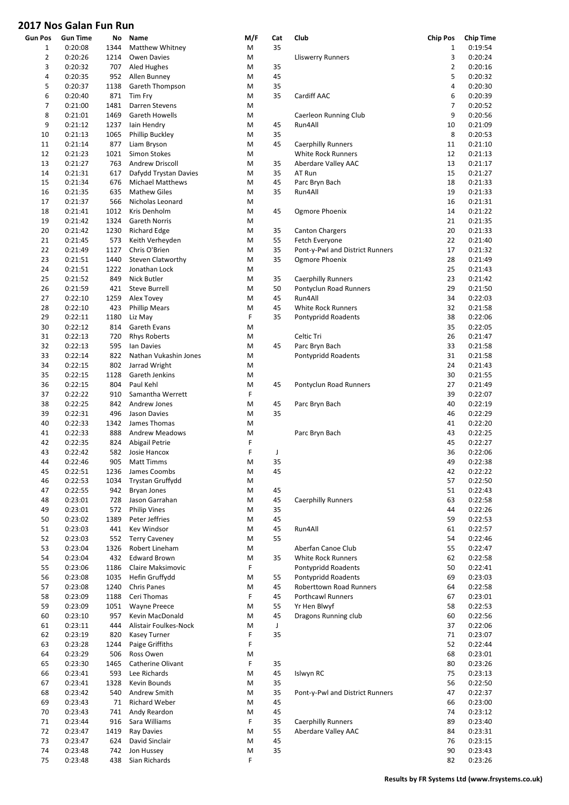| <b>Gun Pos</b> | <b>Gun Time</b>    | No          | Name                                        | M/F    | Cat      | Club                                             | <b>Chip Pos</b> | <b>Chip Time</b>   |
|----------------|--------------------|-------------|---------------------------------------------|--------|----------|--------------------------------------------------|-----------------|--------------------|
| $\mathbf{1}$   | 0:20:08            | 1344        | Matthew Whitney                             | M      | 35       |                                                  | $\mathbf{1}$    | 0:19:54            |
| $\overline{2}$ | 0:20:26            | 1214        | Owen Davies                                 | M      |          | <b>Lliswerry Runners</b>                         | 3               | 0:20:24            |
| 3              | 0:20:32            | 707         | Aled Hughes                                 | M      | 35       |                                                  | $\overline{2}$  | 0:20:16            |
| 4              | 0:20:35            | 952         | Allen Bunney                                | M      | 45       |                                                  | 5               | 0:20:32            |
| 5              | 0:20:37            | 1138        | Gareth Thompson                             | M      | 35       |                                                  | 4               | 0:20:30            |
| 6              | 0:20:40            | 871         | Tim Fry                                     | M      | 35       | Cardiff AAC                                      | 6               | 0:20:39            |
| 7              | 0:21:00            | 1481        | Darren Stevens                              | M      |          |                                                  | 7               | 0:20:52            |
| 8              | 0:21:01            | 1469        | Gareth Howells                              | M      |          | Caerleon Running Club                            | 9               | 0:20:56            |
| 9              | 0:21:12            | 1237        | lain Hendry                                 | M      | 45       | Run4All                                          | 10              | 0:21:09            |
| 10             | 0:21:13            | 1065        | Phillip Buckley                             | M      | 35       |                                                  | 8               | 0:20:53            |
| 11             | 0:21:14            | 877         | Liam Bryson                                 | M      | 45       | <b>Caerphilly Runners</b>                        | 11              | 0:21:10            |
| 12             | 0:21:23            | 1021        | Simon Stokes                                | M      |          | White Rock Runners                               | 12              | 0:21:13            |
| 13             | 0:21:27            | 763         | Andrew Driscoll                             | M      | 35       | Aberdare Valley AAC                              | 13              | 0:21:17            |
| 14             | 0:21:31            | 617         | Dafydd Trystan Davies                       | M      | 35       | AT Run                                           | 15              | 0:21:27            |
| 15             | 0:21:34            | 676         | <b>Michael Matthews</b>                     | M      | 45       | Parc Bryn Bach                                   | 18              | 0:21:33            |
| 16             | 0:21:35            | 635         | <b>Mathew Giles</b>                         | M      | 35       | Run4All                                          | 19              | 0:21:33            |
| 17             | 0:21:37<br>0:21:41 | 566         | Nicholas Leonard                            | M      |          |                                                  | 16              | 0:21:31            |
| 18             |                    | 1012        | Kris Denholm                                | M      | 45       | Ogmore Phoenix                                   | 14              | 0:21:22            |
| 19             | 0:21:42<br>0:21:42 | 1324        | <b>Gareth Norris</b><br><b>Richard Edge</b> | M      |          |                                                  | 21<br>20        | 0:21:35            |
| 20<br>21       | 0:21:45            | 1230<br>573 | Keith Verheyden                             | M<br>M | 35<br>55 | <b>Canton Chargers</b><br>Fetch Everyone         | 22              | 0:21:33<br>0:21:40 |
| 22             | 0:21:49            | 1127        | Chris O'Brien                               | M      | 35       | Pont-y-Pwl and District Runners                  | 17              | 0:21:32            |
| 23             | 0:21:51            | 1440        | <b>Steven Clatworthy</b>                    | M      | 35       | Ogmore Phoenix                                   | 28              | 0:21:49            |
| 24             | 0:21:51            | 1222        | Jonathan Lock                               | M      |          |                                                  | 25              | 0:21:43            |
| 25             | 0:21:52            | 849         | Nick Butler                                 | M      | 35       | <b>Caerphilly Runners</b>                        | 23              | 0:21:42            |
| 26             | 0:21:59            | 421         | <b>Steve Burrell</b>                        | M      | 50       | Pontyclun Road Runners                           | 29              | 0:21:50            |
| 27             | 0:22:10            | 1259        | Alex Tovey                                  | M      | 45       | Run4All                                          | 34              | 0:22:03            |
| 28             | 0:22:10            | 423         | <b>Phillip Mears</b>                        | M      | 45       | White Rock Runners                               | 32              | 0:21:58            |
| 29             | 0:22:11            | 1180        | Liz May                                     | F      | 35       | Pontypridd Roadents                              | 38              | 0:22:06            |
| 30             | 0:22:12            | 814         | Gareth Evans                                | M      |          |                                                  | 35              | 0:22:05            |
| 31             | 0:22:13            | 720         | <b>Rhys Roberts</b>                         | M      |          | Celtic Tri                                       | 26              | 0:21:47            |
| 32             | 0:22:13            | 595         | Ian Davies                                  | M      | 45       | Parc Bryn Bach                                   | 33              | 0:21:58            |
| 33             | 0:22:14            | 822         | Nathan Vukashin Jones                       | M      |          | Pontypridd Roadents                              | 31              | 0:21:58            |
| 34             | 0:22:15            | 802         | Jarrad Wright                               | M      |          |                                                  | 24              | 0:21:43            |
| 35             | 0:22:15            | 1128        | Gareth Jenkins                              | M      |          |                                                  | 30              | 0:21:55            |
| 36             | 0:22:15            | 804         | Paul Kehl                                   | M      | 45       | Pontyclun Road Runners                           | 27              | 0:21:49            |
| 37             | 0:22:22            | 910         | Samantha Werrett                            | F      |          |                                                  | 39              | 0:22:07            |
| 38             | 0:22:25            | 842         | Andrew Jones                                | M      | 45       | Parc Bryn Bach                                   | 40              | 0:22:19            |
| 39             | 0:22:31            | 496         | Jason Davies                                | M      | 35       |                                                  | 46              | 0:22:29            |
| 40             | 0:22:33            | 1342        | James Thomas                                | M      |          |                                                  | 41              | 0:22:20            |
| 41             | 0:22:33            | 888         | <b>Andrew Meadows</b>                       | M      |          | Parc Bryn Bach                                   | 43              | 0:22:25            |
| 42             | 0:22:35            | 824         | Abigail Petrie                              | F      |          |                                                  | 45              | 0:22:27            |
| 43             | 0:22:42            | 582         | Josie Hancox                                | F      | J        |                                                  | 36              | 0:22:06            |
| 44             | 0:22:46            | 905         | <b>Matt Timms</b>                           | M      | 35       |                                                  | 49              | 0:22:38            |
| 45             | 0:22:51            | 1236        | James Coombs                                | M      | 45       |                                                  | 42              | 0:22:22            |
| 46             | 0:22:53            | 1034        | Trystan Gruffydd                            | M      |          |                                                  | 57              | 0:22:50            |
| 47             | 0:22:55            | 942         | <b>Bryan Jones</b>                          | M      | 45       |                                                  | 51              | 0:22:43            |
| 48             | 0:23:01            | 728         | Jason Garrahan                              | M      | 45       | <b>Caerphilly Runners</b>                        | 63              | 0:22:58            |
| 49             | 0:23:01            | 572         | <b>Philip Vines</b>                         | M      | 35       |                                                  | 44              | 0:22:26            |
| 50             | 0:23:02            | 1389        | Peter Jeffries                              | M      | 45       |                                                  | 59              | 0:22:53            |
| 51             | 0:23:03            | 441         | Kev Windsor                                 | M      | 45       | Run4All                                          | 61              | 0:22:57            |
| 52             | 0:23:03            | 552         | <b>Terry Caveney</b>                        | M      | 55       |                                                  | 54              | 0:22:46            |
| 53             | 0:23:04            | 1326        | Robert Lineham                              | M      |          | Aberfan Canoe Club                               | 55              | 0:22:47            |
| 54             | 0:23:04            | 432         | <b>Edward Brown</b>                         | M      | 35       | White Rock Runners                               | 62              | 0:22:58            |
| 55             | 0:23:06            | 1186        | Claire Maksimovic                           | F      |          | Pontypridd Roadents                              | 50              | 0:22:41            |
| 56             | 0:23:08            | 1035        | Hefin Gruffydd                              | M      | 55       | Pontypridd Roadents                              | 69              | 0:23:03            |
| 57             | 0:23:08            | 1240        | <b>Chris Panes</b>                          | M      | 45       | Roberttown Road Runners                          | 64              | 0:22:58            |
| 58             | 0:23:09            | 1188        | Ceri Thomas                                 | F      | 45       | <b>Porthcawl Runners</b>                         | 67              | 0:23:01            |
| 59             | 0:23:09            | 1051        | <b>Wayne Preece</b>                         | M      | 55       | Yr Hen Blwyf                                     | 58              | 0:22:53            |
| 60             | 0:23:10            | 957         | Kevin MacDonald                             | M      | 45       | Dragons Running club                             | 60              | 0:22:56            |
| 61             | 0:23:11            | 444         | Alistair Foulkes-Nock                       | M      | J        |                                                  | 37              | 0:22:06            |
| 62             | 0:23:19            | 820         | <b>Kasey Turner</b>                         | F      | 35       |                                                  | 71              | 0:23:07            |
| 63             | 0:23:28            | 1244        | Paige Griffiths                             | F      |          |                                                  | 52              | 0:22:44            |
| 64             | 0:23:29            | 506         | Ross Owen                                   | M      |          |                                                  | 68              | 0:23:01            |
| 65             | 0:23:30            | 1465        | Catherine Olivant                           | F      | 35       |                                                  | 80              | 0:23:26            |
| 66             | 0:23:41            | 593         | Lee Richards                                | M      | 45       | Islwyn RC                                        | 75              | 0:23:13            |
| 67             | 0:23:41            | 1328        | Kevin Bounds                                | M      | 35       |                                                  | 56              | 0:22:50            |
| 68             | 0:23:42            | 540         | Andrew Smith                                | M      | 35       | Pont-y-Pwl and District Runners                  | 47              | 0:22:37            |
| 69             | 0:23:43            | 71          | <b>Richard Weber</b>                        | M      | 45       |                                                  | 66              | 0:23:00            |
| 70             | 0:23:43            | 741         | Andy Reardon                                | M<br>F | 45       |                                                  | 74              | 0:23:12            |
| 71<br>72       | 0:23:44            | 916         | Sara Williams                               |        | 35<br>55 | <b>Caerphilly Runners</b><br>Aberdare Valley AAC | 89<br>84        | 0:23:40<br>0:23:31 |
| 73             | 0:23:47<br>0:23:47 | 1419<br>624 | Ray Davies<br>David Sinclair                | M<br>M | 45       |                                                  | 76              | 0:23:15            |
| 74             | 0:23:48            | 742         | Jon Hussey                                  | M      | 35       |                                                  | 90              | 0:23:43            |
| 75             | 0:23:48            | 438         | Sian Richards                               | F      |          |                                                  | 82              | 0:23:26            |
|                |                    |             |                                             |        |          |                                                  |                 |                    |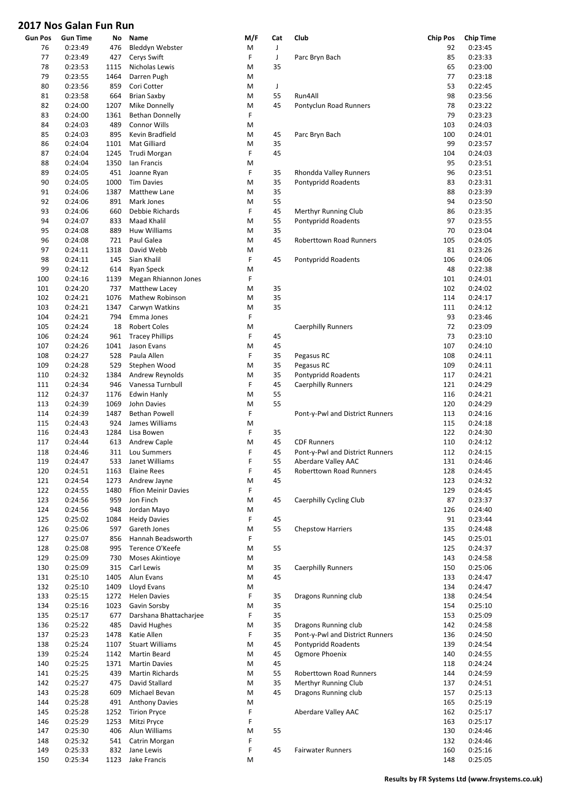| <b>Gun Pos</b> | <b>Gun Time</b> | No   | Name                                    | M/F | Cat | Club                            | <b>Chip Pos</b> | <b>Chip Time</b> |
|----------------|-----------------|------|-----------------------------------------|-----|-----|---------------------------------|-----------------|------------------|
| 76             | 0:23:49         | 476  | Bleddyn Webster                         | M   | J   |                                 | 92              | 0:23:45          |
| 77             | 0:23:49         | 427  | Cerys Swift                             | F   | J   | Parc Bryn Bach                  | 85              | 0:23:33          |
| 78             | 0:23:53         | 1115 | Nicholas Lewis                          | M   | 35  |                                 | 65              | 0:23:00          |
| 79             | 0:23:55         | 1464 | Darren Pugh                             | M   |     |                                 | 77              | 0:23:18          |
| 80             | 0:23:56         | 859  | Cori Cotter                             | M   | J   |                                 | 53              | 0:22:45          |
| 81             | 0:23:58         | 664  | <b>Brian Saxby</b>                      | M   | 55  | Run4All                         | 98              | 0:23:56          |
| 82             | 0:24:00         | 1207 | Mike Donnelly                           | M   | 45  | Pontyclun Road Runners          | 78              | 0:23:22          |
| 83             | 0:24:00         | 1361 | <b>Bethan Donnelly</b>                  | F   |     |                                 | 79              | 0:23:23          |
| 84             | 0:24:03         | 489  | <b>Connor Wills</b>                     | M   |     |                                 | 103             | 0:24:03          |
| 85             | 0:24:03         | 895  | Kevin Bradfield                         | M   | 45  | Parc Bryn Bach                  | 100             | 0:24:01          |
| 86             | 0:24:04         | 1101 | Mat Gilliard                            | M   | 35  |                                 | 99              | 0:23:57          |
| 87             | 0:24:04         | 1245 | Trudi Morgan                            | F   | 45  |                                 | 104             | 0:24:03          |
| 88             | 0:24:04         | 1350 | Ian Francis                             | M   |     |                                 | 95              | 0:23:51          |
| 89             | 0:24:05         | 451  | Joanne Ryan                             | F   | 35  | Rhondda Valley Runners          | 96              | 0:23:51          |
| 90             | 0:24:05         | 1000 | <b>Tim Davies</b>                       | M   | 35  | Pontypridd Roadents             | 83              | 0:23:31          |
| 91             | 0:24:06         | 1387 | Matthew Lane                            | M   | 35  |                                 | 88              | 0:23:39          |
| 92             | 0:24:06         | 891  | Mark Jones                              | M   | 55  |                                 | 94              | 0:23:50          |
| 93             | 0:24:06         | 660  | Debbie Richards                         | F   | 45  | Merthyr Running Club            | 86              | 0:23:35          |
| 94             | 0:24:07         | 833  | Maad Khalil                             | M   | 55  | Pontypridd Roadents             | 97              | 0:23:55          |
| 95             | 0:24:08         | 889  | Huw Williams                            | M   | 35  |                                 | 70              | 0:23:04          |
| 96             | 0:24:08         | 721  | Paul Galea                              | M   | 45  | Roberttown Road Runners         | 105             | 0:24:05          |
| 97             | 0:24:11         | 1318 | David Webb                              | M   |     |                                 | 81              | 0:23:26          |
| 98             | 0:24:11         | 145  | Sian Khalil                             | F   | 45  | Pontypridd Roadents             | 106             | 0:24:06          |
| 99             | 0:24:12         |      |                                         |     |     |                                 | 48              | 0:22:38          |
|                |                 | 614  | Ryan Speck                              | M   |     |                                 |                 |                  |
| 100            | 0:24:16         | 1139 | Megan Rhiannon Jones                    | F   |     |                                 | 101             | 0:24:01          |
| 101            | 0:24:20         | 737  | Matthew Lacey                           | M   | 35  |                                 | 102             | 0:24:02          |
| 102            | 0:24:21         | 1076 | Mathew Robinson                         | M   | 35  |                                 | 114             | 0:24:17          |
| 103            | 0:24:21         | 1347 | Carwyn Watkins                          | M   | 35  |                                 | 111             | 0:24:12          |
| 104            | 0:24:21         | 794  | Emma Jones                              | F   |     |                                 | 93              | 0:23:46          |
| 105            | 0:24:24         | 18   | <b>Robert Coles</b>                     | M   |     | <b>Caerphilly Runners</b>       | 72              | 0:23:09          |
| 106            | 0:24:24         | 961  | <b>Tracey Phillips</b>                  | F   | 45  |                                 | 73              | 0:23:10          |
| 107            | 0:24:26         | 1041 | Jason Evans                             | M   | 45  |                                 | 107             | 0:24:10          |
| 108            | 0:24:27         | 528  | Paula Allen                             | F   | 35  | Pegasus RC                      | 108             | 0:24:11          |
| 109            | 0:24:28         | 529  | Stephen Wood                            | M   | 35  | Pegasus RC                      | 109             | 0:24:11          |
| 110            | 0:24:32         | 1384 | Andrew Reynolds                         | M   | 35  | Pontypridd Roadents             | 117             | 0:24:21          |
| 111            | 0:24:34         | 946  | Vanessa Turnbull                        | F   | 45  | <b>Caerphilly Runners</b>       | 121             | 0:24:29          |
| 112            | 0:24:37         | 1176 | <b>Edwin Hanly</b>                      | M   | 55  |                                 | 116             | 0:24:21          |
| 113            | 0:24:39         | 1069 | John Davies                             | M   | 55  |                                 | 120             | 0:24:29          |
| 114            | 0:24:39         | 1487 | <b>Bethan Powell</b>                    | F   |     | Pont-y-Pwl and District Runners | 113             | 0:24:16          |
| 115            | 0:24:43         | 924  | James Williams                          | M   |     |                                 | 115             | 0:24:18          |
| 116            | 0:24:43         | 1284 | Lisa Bowen                              | F   | 35  |                                 | 122             | 0:24:30          |
| 117            | 0:24:44         | 613  | Andrew Caple                            | M   | 45  | <b>CDF Runners</b>              | 110             | 0:24:12          |
| 118            | 0:24:46         | 311  | Lou Summers                             | F   | 45  | Pont-y-Pwl and District Runners | 112             | 0:24:15          |
| 119            | 0:24:47         | 533  | Janet Williams                          | F   | 55  | Aberdare Valley AAC             | 131             | 0:24:46          |
| 120            | 0:24:51         | 1163 | <b>Elaine Rees</b>                      | F   | 45  | Roberttown Road Runners         | 128             | 0:24:45          |
| 121            | 0:24:54         | 1273 | Andrew Jayne                            | M   | 45  |                                 | 123             | 0:24:32          |
| 122            | 0:24:55         | 1480 | <b>Ffion Meinir Davies</b>              | F   |     |                                 | 129             | 0:24:45          |
| 123            | 0:24:56         | 959  | Jon Finch                               | M   | 45  | Caerphilly Cycling Club         | 87              | 0:23:37          |
| 124            | 0:24:56         | 948  | Jordan Mayo                             | M   |     |                                 | 126             | 0:24:40          |
| 125            | 0:25:02         | 1084 | <b>Heidy Davies</b>                     | F   | 45  |                                 | 91              | 0:23:44          |
| 126            | 0:25:06         | 597  | Gareth Jones                            | M   | 55  | <b>Chepstow Harriers</b>        | 135             | 0:24:48          |
| 127            | 0:25:07         | 856  | Hannah Beadsworth                       | F   |     |                                 | 145             | 0:25:01          |
| 128            | 0:25:08         | 995  | Terence O'Keefe                         | M   | 55  |                                 | 125             | 0:24:37          |
| 129            | 0:25:09         | 730  | Moses Akintioye                         | M   |     |                                 | 143             | 0:24:58          |
| 130            | 0:25:09         | 315  | Carl Lewis                              | M   | 35  | <b>Caerphilly Runners</b>       | 150             | 0:25:06          |
| 131            | 0:25:10         | 1405 | Alun Evans                              | М   | 45  |                                 | 133             | 0:24:47          |
| 132            | 0:25:10         | 1409 | Lloyd Evans                             | M   |     |                                 | 134             | 0:24:47          |
| 133            | 0:25:15         | 1272 | <b>Helen Davies</b>                     | F   | 35  | Dragons Running club            | 138             | 0:24:54          |
| 134            | 0:25:16         | 1023 | Gavin Sorsby                            | M   | 35  |                                 | 154             | 0:25:10          |
| 135            | 0:25:17         | 677  | Darshana Bhattacharjee                  | F   | 35  |                                 | 153             | 0:25:09          |
| 136            | 0:25:22         | 485  | David Hughes                            | M   | 35  | Dragons Running club            | 142             | 0:24:58          |
| 137            | 0:25:23         | 1478 | Katie Allen                             | F   | 35  | Pont-y-Pwl and District Runners | 136             | 0:24:50          |
| 138            | 0:25:24         | 1107 | <b>Stuart Williams</b>                  | M   | 45  | Pontypridd Roadents             | 139             | 0:24:54          |
| 139            | 0:25:24         | 1142 | Martin Beard                            | М   | 45  | Ogmore Phoenix                  | 140             | 0:24:55          |
| 140            | 0:25:25         | 1371 |                                         | M   | 45  |                                 | 118             | 0:24:24          |
| 141            | 0:25:25         | 439  | <b>Martin Davies</b><br>Martin Richards | M   | 55  | Roberttown Road Runners         | 144             | 0:24:59          |
|                |                 |      |                                         |     |     |                                 |                 |                  |
| 142            | 0:25:27         | 475  | David Stallard                          | M   | 35  | <b>Merthyr Running Club</b>     | 137             | 0:24:51          |
| 143            | 0:25:28         | 609  | Michael Bevan                           | M   | 45  | Dragons Running club            | 157             | 0:25:13          |
| 144            | 0:25:28         | 491  | <b>Anthony Davies</b>                   | M   |     |                                 | 165             | 0:25:19          |
| 145            | 0:25:28         | 1252 | <b>Tirion Pryce</b>                     | F   |     | Aberdare Valley AAC             | 162             | 0:25:17          |
| 146            | 0:25:29         | 1253 | Mitzi Pryce                             | F   |     |                                 | 163             | 0:25:17          |
| 147            | 0:25:30         | 406  | Alun Williams                           | M   | 55  |                                 | 130             | 0:24:46          |
| 148            | 0:25:32         | 541  | Catrin Morgan                           | F   |     |                                 | 132             | 0:24:46          |
| 149            | 0:25:33         | 832  | Jane Lewis                              | F   | 45  | <b>Fairwater Runners</b>        | 160             | 0:25:16          |
| 150            | 0:25:34         | 1123 | Jake Francis                            | M   |     |                                 | 148             | 0:25:05          |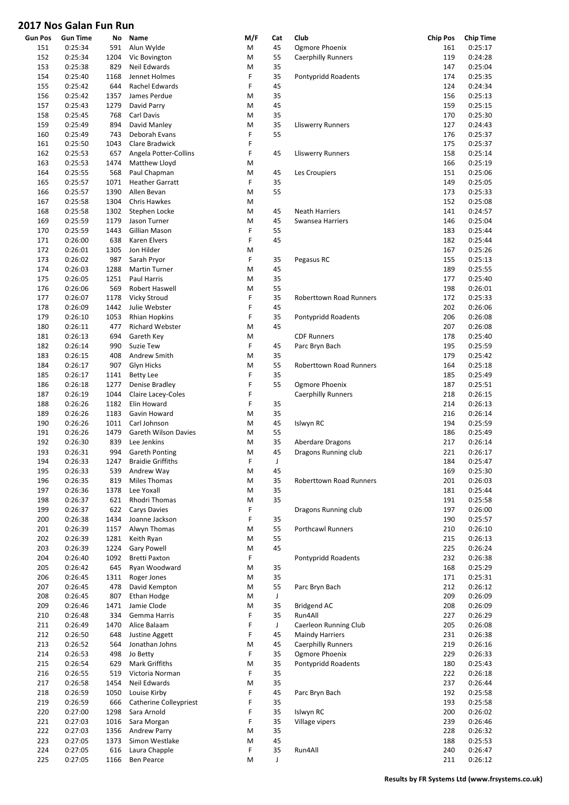| <b>Gun Pos</b> | <b>Gun Time</b> | No   | Name                     | M/F | Cat         | Club                      | <b>Chip Pos</b> | Chip Time |
|----------------|-----------------|------|--------------------------|-----|-------------|---------------------------|-----------------|-----------|
| 151            | 0:25:34         | 591  | Alun Wylde               | M   | 45          | Ogmore Phoenix            | 161             | 0:25:17   |
| 152            | 0:25:34         | 1204 | Vic Bovington            | M   | 55          | <b>Caerphilly Runners</b> | 119             | 0:24:28   |
| 153            | 0:25:38         | 829  | Neil Edwards             | M   | 35          |                           | 147             | 0:25:04   |
| 154            | 0:25:40         | 1168 | Jennet Holmes            | F   | 35          | Pontypridd Roadents       | 174             | 0:25:35   |
| 155            | 0:25:42         | 644  | Rachel Edwards           | F   | 45          |                           | 124             | 0:24:34   |
|                |                 |      |                          |     |             |                           |                 |           |
| 156            | 0:25:42         | 1357 | James Perdue             | M   | 35          |                           | 156             | 0:25:13   |
| 157            | 0:25:43         | 1279 | David Parry              | M   | 45          |                           | 159             | 0:25:15   |
| 158            | 0:25:45         | 768  | Carl Davis               | M   | 35          |                           | 170             | 0:25:30   |
| 159            | 0:25:49         | 894  | David Manley             | M   | 35          | <b>Lliswerry Runners</b>  | 127             | 0:24:43   |
| 160            | 0:25:49         | 743  | Deborah Evans            | F   | 55          |                           | 176             | 0:25:37   |
| 161            | 0:25:50         | 1043 | Clare Bradwick           | F   |             |                           | 175             | 0:25:37   |
| 162            | 0:25:53         | 657  | Angela Potter-Collins    | F   | 45          | <b>Lliswerry Runners</b>  | 158             | 0:25:14   |
| 163            | 0:25:53         | 1474 | Matthew Lloyd            | M   |             |                           | 166             | 0:25:19   |
|                |                 |      |                          |     |             |                           |                 |           |
| 164            | 0:25:55         | 568  | Paul Chapman             | M   | 45          | Les Croupiers             | 151             | 0:25:06   |
| 165            | 0:25:57         | 1071 | <b>Heather Garratt</b>   | F   | 35          |                           | 149             | 0:25:05   |
| 166            | 0:25:57         | 1390 | Allen Bevan              | M   | 55          |                           | 173             | 0:25:33   |
| 167            | 0:25:58         | 1304 | Chris Hawkes             | M   |             |                           | 152             | 0:25:08   |
| 168            | 0:25:58         | 1302 | Stephen Locke            | M   | 45          | <b>Neath Harriers</b>     | 141             | 0:24:57   |
| 169            | 0:25:59         | 1179 | Jason Turner             | M   | 45          | Swansea Harriers          | 146             | 0:25:04   |
| 170            | 0:25:59         | 1443 | Gillian Mason            | F   | 55          |                           | 183             | 0:25:44   |
| 171            | 0:26:00         | 638  | Karen Elvers             | F   | 45          |                           | 182             | 0:25:44   |
|                |                 |      |                          |     |             |                           |                 |           |
| 172            | 0:26:01         | 1305 | Jon Hilder               | M   |             |                           | 167             | 0:25:26   |
| 173            | 0:26:02         | 987  | Sarah Pryor              | F   | 35          | Pegasus RC                | 155             | 0:25:13   |
| 174            | 0:26:03         | 1288 | <b>Martin Turner</b>     | M   | 45          |                           | 189             | 0:25:55   |
| 175            | 0:26:05         | 1251 | Paul Harris              | M   | 35          |                           | 177             | 0:25:40   |
| 176            | 0:26:06         | 569  | Robert Haswell           | M   | 55          |                           | 198             | 0:26:01   |
| 177            | 0:26:07         | 1178 | Vicky Stroud             | F   | 35          | Roberttown Road Runners   | 172             | 0:25:33   |
| 178            | 0:26:09         | 1442 | Julie Webster            | F   | 45          |                           | 202             | 0:26:06   |
| 179            | 0:26:10         | 1053 | <b>Rhian Hopkins</b>     | F   | 35          | Pontypridd Roadents       | 206             | 0:26:08   |
|                |                 |      |                          |     |             |                           |                 |           |
| 180            | 0:26:11         | 477  | Richard Webster          | M   | 45          |                           | 207             | 0:26:08   |
| 181            | 0:26:13         | 694  | Gareth Key               | M   |             | <b>CDF Runners</b>        | 178             | 0:25:40   |
| 182            | 0:26:14         | 990  | Suzie Tew                | F   | 45          | Parc Bryn Bach            | 195             | 0:25:59   |
| 183            | 0:26:15         | 408  | Andrew Smith             | M   | 35          |                           | 179             | 0:25:42   |
| 184            | 0:26:17         | 907  | Glyn Hicks               | M   | 55          | Roberttown Road Runners   | 164             | 0:25:18   |
| 185            | 0:26:17         | 1141 | <b>Betty Lee</b>         | F   | 35          |                           | 185             | 0:25:49   |
| 186            | 0:26:18         | 1277 | Denise Bradley           | F   | 55          | Ogmore Phoenix            | 187             | 0:25:51   |
| 187            | 0:26:19         | 1044 | Claire Lacey-Coles       | F   |             | <b>Caerphilly Runners</b> | 218             | 0:26:15   |
|                |                 |      |                          | F   |             |                           |                 |           |
| 188            | 0:26:26         | 1182 | Elin Howard              |     | 35          |                           | 214             | 0:26:13   |
| 189            | 0:26:26         | 1183 | Gavin Howard             | M   | 35          |                           | 216             | 0:26:14   |
| 190            | 0:26:26         | 1011 | Carl Johnson             | M   | 45          | Islwyn RC                 | 194             | 0:25:59   |
| 191            | 0:26:26         | 1479 | Gareth Wilson Davies     | M   | 55          |                           | 186             | 0:25:49   |
| 192            | 0:26:30         | 839  | Lee Jenkins              | M   | 35          | Aberdare Dragons          | 217             | 0:26:14   |
| 193            | 0:26:31         | 994  | <b>Gareth Ponting</b>    | M   | 45          | Dragons Running club      | 221             | 0:26:17   |
| 194            | 0:26:33         | 1247 | <b>Braidie Griffiths</b> | F   | J           |                           | 184             | 0:25:47   |
| 195            | 0:26:33         | 539  | Andrew Way               | M   | 45          |                           | 169             | 0:25:30   |
|                |                 |      |                          |     |             |                           |                 |           |
| 196            | 0:26:35         | 819  | Miles Thomas             | M   | 35          | Roberttown Road Runners   | 201             | 0:26:03   |
| 197            | 0:26:36         | 1378 | Lee Yoxall               | M   | 35          |                           | 181             | 0:25:44   |
| 198            | 0:26:37         | 621  | Rhodri Thomas            | M   | 35          |                           | 191             | 0:25:58   |
| 199            | 0:26:37         | 622  | <b>Carys Davies</b>      | F   |             | Dragons Running club      | 197             | 0:26:00   |
| 200            | 0:26:38         | 1434 | Joanne Jackson           | F   | 35          |                           | 190             | 0:25:57   |
| 201            | 0:26:39         | 1157 | Alwyn Thomas             | M   | 55          | Porthcawl Runners         | 210             | 0:26:10   |
| 202            | 0:26:39         | 1281 | Keith Ryan               | M   | 55          |                           | 215             | 0:26:13   |
| 203            | 0:26:39         | 1224 | <b>Gary Powell</b>       | M   | 45          |                           | 225             | 0:26:24   |
|                | 0:26:40         |      | <b>Bretti Paxton</b>     | F   |             |                           |                 |           |
| 204            |                 | 1092 |                          |     |             | Pontypridd Roadents       | 232             | 0:26:38   |
| 205            | 0:26:42         | 645  | Ryan Woodward            | M   | 35          |                           | 168             | 0:25:29   |
| 206            | 0:26:45         | 1311 | Roger Jones              | M   | 35          |                           | 171             | 0:25:31   |
| 207            | 0:26:45         | 478  | David Kempton            | M   | 55          | Parc Bryn Bach            | 212             | 0:26:12   |
| 208            | 0:26:45         | 807  | Ethan Hodge              | M   | $\mathsf J$ |                           | 209             | 0:26:09   |
| 209            | 0:26:46         | 1471 | Jamie Clode              | M   | 35          | Bridgend AC               | 208             | 0:26:09   |
| 210            | 0:26:48         | 334  | Gemma Harris             | F   | 35          | Run4All                   | 227             | 0:26:29   |
| 211            | 0:26:49         | 1470 | Alice Balaam             | F   | J           | Caerleon Running Club     | 205             | 0:26:08   |
|                |                 |      |                          | F   | 45          |                           |                 |           |
| 212            | 0:26:50         | 648  | Justine Aggett           |     |             | <b>Maindy Harriers</b>    | 231             | 0:26:38   |
| 213            | 0:26:52         | 564  | Jonathan Johns           | M   | 45          | <b>Caerphilly Runners</b> | 219             | 0:26:16   |
| 214            | 0:26:53         | 498  | Jo Betty                 | F   | 35          | Ogmore Phoenix            | 229             | 0:26:33   |
| 215            | 0:26:54         | 629  | Mark Griffiths           | M   | 35          | Pontypridd Roadents       | 180             | 0:25:43   |
| 216            | 0:26:55         | 519  | Victoria Norman          | F   | 35          |                           | 222             | 0:26:18   |
| 217            | 0:26:58         | 1454 | Neil Edwards             | M   | 35          |                           | 237             | 0:26:44   |
| 218            | 0:26:59         | 1050 | Louise Kirby             | F   | 45          | Parc Bryn Bach            | 192             | 0:25:58   |
| 219            |                 |      | Catherine Colleypriest   | F   | 35          |                           | 193             | 0:25:58   |
|                | 0:26:59         | 666  |                          |     |             |                           |                 |           |
| 220            | 0:27:00         | 1298 | Sara Arnold              | F   | 35          | Islwyn RC                 | 200             | 0:26:02   |
| 221            | 0:27:03         | 1016 | Sara Morgan              | F   | 35          | Village vipers            | 239             | 0:26:46   |
| 222            | 0:27:03         | 1356 | Andrew Parry             | M   | 35          |                           | 228             | 0:26:32   |
| 223            | 0:27:05         | 1373 | Simon Westlake           | M   | 45          |                           | 188             | 0:25:53   |
| 224            | 0:27:05         | 616  | Laura Chapple            | F   | 35          | Run4All                   | 240             | 0:26:47   |
| 225            | 0:27:05         | 1166 | Ben Pearce               | M   | J           |                           | 211             | 0:26:12   |
|                |                 |      |                          |     |             |                           |                 |           |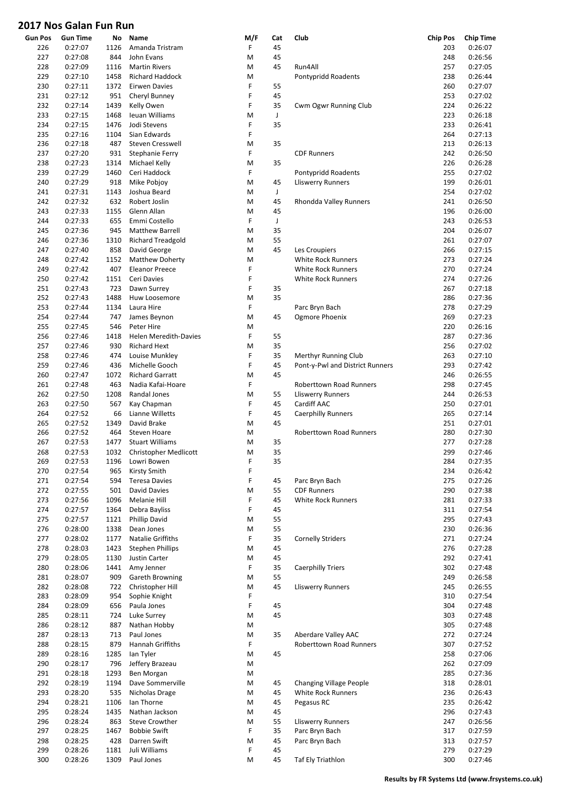| <b>Gun Pos</b> | <b>Gun Time</b>    | No           | Name                                     | M/F    | Cat      | Club                            | <b>Chip Pos</b> | <b>Chip Time</b>   |
|----------------|--------------------|--------------|------------------------------------------|--------|----------|---------------------------------|-----------------|--------------------|
| 226            | 0:27:07            | 1126         | Amanda Tristram                          | F      | 45       |                                 | 203             | 0:26:07            |
| 227            | 0:27:08            | 844          | John Evans                               | M      | 45       |                                 | 248             | 0:26:56            |
| 228            | 0:27:09            | 1116         | <b>Martin Rivers</b>                     | M      | 45       | Run4All                         | 257             | 0:27:05            |
| 229            | 0:27:10            | 1458         | <b>Richard Haddock</b>                   | M<br>F |          | Pontypridd Roadents             | 238             | 0:26:44<br>0:27:07 |
| 230<br>231     | 0:27:11<br>0:27:12 | 1372<br>951  | <b>Eirwen Davies</b><br>Cheryl Bunney    | F      | 55<br>45 |                                 | 260<br>253      | 0:27:02            |
| 232            | 0:27:14            | 1439         | Kelly Owen                               | F      | 35       | Cwm Ogwr Running Club           | 224             | 0:26:22            |
| 233            | 0:27:15            | 1468         | Ieuan Williams                           | M      | J        |                                 | 223             | 0:26:18            |
| 234            | 0:27:15            | 1476         | Jodi Stevens                             | F      | 35       |                                 | 233             | 0:26:41            |
| 235            | 0:27:16            | 1104         | Sian Edwards                             | F      |          |                                 | 264             | 0:27:13            |
| 236            | 0:27:18            | 487          | Steven Cresswell                         | M      | 35       |                                 | 213             | 0:26:13            |
| 237            | 0:27:20            | 931          | Stephanie Ferry                          | F      |          | <b>CDF Runners</b>              | 242             | 0:26:50            |
| 238            | 0:27:23            | 1314         | Michael Kelly                            | M      | 35       |                                 | 226             | 0:26:28            |
| 239            | 0:27:29            | 1460         | Ceri Haddock                             | F      |          | Pontypridd Roadents             | 255             | 0:27:02            |
| 240            | 0:27:29            | 918          | Mike Pobjoy                              | M      | 45       | <b>Lliswerry Runners</b>        | 199             | 0:26:01            |
| 241<br>242     | 0:27:31<br>0:27:32 | 1143<br>632  | Joshua Beard<br>Robert Joslin            | M<br>M | J<br>45  | Rhondda Valley Runners          | 254<br>241      | 0:27:02<br>0:26:50 |
| 243            | 0:27:33            | 1155         | Glenn Allan                              | M      | 45       |                                 | 196             | 0:26:00            |
| 244            | 0:27:33            | 655          | Emmi Costello                            | F      | J        |                                 | 243             | 0:26:53            |
| 245            | 0:27:36            | 945          | <b>Matthew Barrell</b>                   | M      | 35       |                                 | 204             | 0:26:07            |
| 246            | 0:27:36            | 1310         | <b>Richard Treadgold</b>                 | M      | 55       |                                 | 261             | 0:27:07            |
| 247            | 0:27:40            | 858          | David George                             | M      | 45       | Les Croupiers                   | 266             | 0:27:15            |
| 248            | 0:27:42            | 1152         | <b>Matthew Doherty</b>                   | M      |          | <b>White Rock Runners</b>       | 273             | 0:27:24            |
| 249            | 0:27:42            | 407          | <b>Eleanor Preece</b>                    | F      |          | <b>White Rock Runners</b>       | 270             | 0:27:24            |
| 250            | 0:27:42            | 1151         | Ceri Davies                              | F      |          | <b>White Rock Runners</b>       | 274             | 0:27:26            |
| 251            | 0:27:43            | 723          | Dawn Surrey                              | F      | 35       |                                 | 267             | 0:27:18            |
| 252            | 0:27:43            | 1488         | Huw Loosemore                            | M      | 35       |                                 | 286             | 0:27:36            |
| 253            | 0:27:44            | 1134         | Laura Hire                               | F      |          | Parc Bryn Bach                  | 278             | 0:27:29            |
| 254<br>255     | 0:27:44<br>0:27:45 | 747<br>546   | James Beynon<br>Peter Hire               | M<br>M | 45       | Ogmore Phoenix                  | 269<br>220      | 0:27:23<br>0:26:16 |
| 256            | 0:27:46            | 1418         | <b>Helen Meredith-Davies</b>             | F      | 55       |                                 | 287             | 0:27:36            |
| 257            | 0:27:46            | 930          | <b>Richard Hext</b>                      | M      | 35       |                                 | 256             | 0:27:02            |
| 258            | 0:27:46            | 474          | Louise Munkley                           | F      | 35       | <b>Merthyr Running Club</b>     | 263             | 0:27:10            |
| 259            | 0:27:46            | 436          | Michelle Gooch                           | F      | 45       | Pont-y-Pwl and District Runners | 293             | 0:27:42            |
| 260            | 0:27:47            | 1072         | <b>Richard Garratt</b>                   | M      | 45       |                                 | 246             | 0:26:55            |
| 261            | 0:27:48            | 463          | Nadia Kafai-Hoare                        | F      |          | Roberttown Road Runners         | 298             | 0:27:45            |
| 262            | 0:27:50            | 1208         | Randal Jones                             | M      | 55       | <b>Lliswerry Runners</b>        | 244             | 0:26:53            |
| 263            | 0:27:50            | 567          | Kay Chapman                              | F      | 45       | Cardiff AAC                     | 250             | 0:27:01            |
| 264            | 0:27:52            | 66           | Lianne Willetts                          | F      | 45       | <b>Caerphilly Runners</b>       | 265             | 0:27:14            |
| 265            | 0:27:52            | 1349         | David Brake                              | M      | 45       |                                 | 251             | 0:27:01            |
| 266<br>267     | 0:27:52<br>0:27:53 | 464<br>1477  | Steven Hoare<br><b>Stuart Williams</b>   | M<br>M | 35       | Roberttown Road Runners         | 280<br>277      | 0:27:30<br>0:27:28 |
| 268            | 0:27:53            | 1032         | Christopher Medlicott                    | M      | 35       |                                 | 299             | 0:27:46            |
| 269            | 0:27:53            | 1196         | Lowri Bowen                              | F      | 35       |                                 | 284             | 0:27:35            |
| 270            | 0:27:54            | 965          | Kirsty Smith                             | F      |          |                                 | 234             | 0:26:42            |
| 271            | 0:27:54            | 594          | <b>Teresa Davies</b>                     | F      | 45       | Parc Bryn Bach                  | 275             | 0:27:26            |
| 272            | 0:27:55            | 501          | David Davies                             | M      | 55       | <b>CDF Runners</b>              | 290             | 0:27:38            |
| 273            | 0:27:56            | 1096         | Melanie Hill                             | F      | 45       | White Rock Runners              | 281             | 0:27:33            |
| 274            | 0:27:57            | 1364         | Debra Bayliss                            | F      | 45       |                                 | 311             | 0:27:54            |
| 275            | 0:27:57            | 1121         | <b>Phillip David</b>                     | M      | 55       |                                 | 295             | 0:27:43            |
| 276            | 0:28:00            | 1338         | Dean Jones                               | M      | 55       |                                 | 230             | 0:26:36            |
| 277            | 0:28:02            | 1177         | Natalie Griffiths                        | F      | 35       | <b>Cornelly Striders</b>        | 271             | 0:27:24            |
| 278<br>279     | 0:28:03<br>0:28:05 | 1423<br>1130 | <b>Stephen Phillips</b><br>Justin Carter | M<br>M | 45<br>45 |                                 | 276<br>292      | 0:27:28<br>0:27:41 |
| 280            | 0:28:06            | 1441         | Amy Jenner                               | F      | 35       | <b>Caerphilly Triers</b>        | 302             | 0:27:48            |
| 281            | 0:28:07            | 909          | Gareth Browning                          | M      | 55       |                                 | 249             | 0:26:58            |
| 282            | 0:28:08            | 722          | Christopher Hill                         | M      | 45       | <b>Lliswerry Runners</b>        | 245             | 0:26:55            |
| 283            | 0:28:09            | 954          | Sophie Knight                            | F      |          |                                 | 310             | 0:27:54            |
| 284            | 0:28:09            | 656          | Paula Jones                              | F      | 45       |                                 | 304             | 0:27:48            |
| 285            | 0:28:11            | 724          | Luke Surrey                              | M      | 45       |                                 | 303             | 0:27:48            |
| 286            | 0:28:12            | 887          | Nathan Hobby                             | M      |          |                                 | 305             | 0:27:48            |
| 287            | 0:28:13            | 713          | Paul Jones                               | M      | 35       | Aberdare Valley AAC             | 272             | 0:27:24            |
| 288            | 0:28:15            | 879          | Hannah Griffiths                         | F      |          | Roberttown Road Runners         | 307             | 0:27:52            |
| 289            | 0:28:16            | 1285         | lan Tyler                                | M      | 45       |                                 | 258             | 0:27:06            |
| 290<br>291     | 0:28:17<br>0:28:18 | 796<br>1293  | Jeffery Brazeau<br>Ben Morgan            | M<br>M |          |                                 | 262<br>285      | 0:27:09<br>0:27:36 |
| 292            | 0:28:19            | 1194         | Dave Sommerville                         | M      | 45       | <b>Changing Village People</b>  | 318             | 0:28:01            |
| 293            | 0:28:20            | 535          | Nicholas Drage                           | M      | 45       | White Rock Runners              | 236             | 0:26:43            |
| 294            | 0:28:21            | 1106         | lan Thorne                               | M      | 45       | Pegasus RC                      | 235             | 0:26:42            |
| 295            | 0:28:24            | 1435         | Nathan Jackson                           | M      | 45       |                                 | 296             | 0:27:43            |
| 296            | 0:28:24            | 863          | Steve Crowther                           | M      | 55       | <b>Lliswerry Runners</b>        | 247             | 0:26:56            |
| 297            | 0:28:25            | 1467         | <b>Bobbie Swift</b>                      | F      | 35       | Parc Bryn Bach                  | 317             | 0:27:59            |
| 298            | 0:28:25            | 428          | Darren Swift                             | M      | 45       | Parc Bryn Bach                  | 313             | 0:27:57            |
| 299            | 0:28:26            | 1181         | Juli Williams                            | F      | 45       |                                 | 279             | 0:27:29            |
| 300            | 0:28:26            | 1309         | Paul Jones                               | M      | 45       | Taf Ely Triathlon               | 300             | 0:27:46            |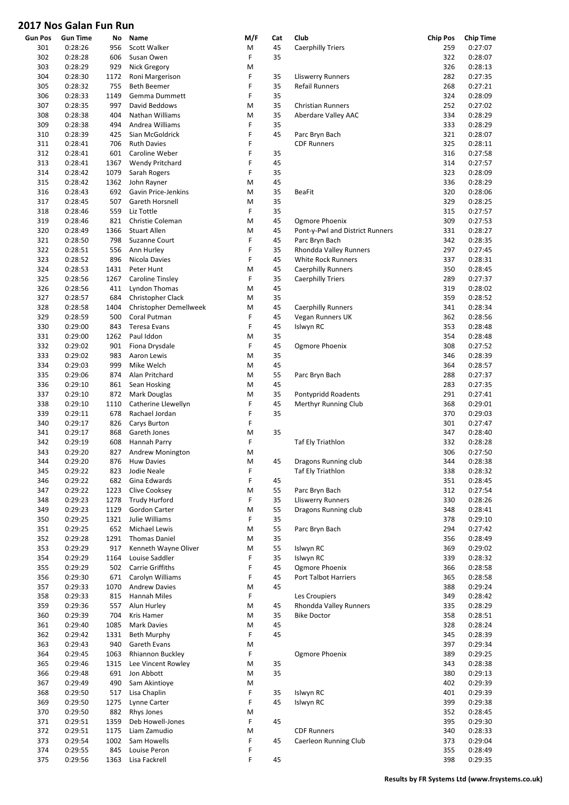| Gun Pos | <b>Gun Time</b> | No   | Name                          | M/F | Cat | Club                            | <b>Chip Pos</b> | <b>Chip Time</b> |
|---------|-----------------|------|-------------------------------|-----|-----|---------------------------------|-----------------|------------------|
| 301     | 0:28:26         | 956  | Scott Walker                  | М   | 45  | <b>Caerphilly Triers</b>        | 259             | 0:27:07          |
| 302     | 0:28:28         | 606  | Susan Owen                    | F   | 35  |                                 | 322             | 0:28:07          |
| 303     | 0:28:29         | 929  | Nick Gregory                  | М   |     |                                 | 326             | 0:28:13          |
|         |                 |      |                               |     |     |                                 |                 |                  |
| 304     | 0:28:30         | 1172 | Roni Margerison               | F   | 35  | Lliswerry Runners               | 282             | 0:27:35          |
| 305     | 0:28:32         | 755  | Beth Beemer                   | F   | 35  | Refail Runners                  | 268             | 0:27:21          |
| 306     | 0:28:33         | 1149 | Gemma Dummett                 | F   | 35  |                                 | 324             | 0:28:09          |
| 307     | 0:28:35         | 997  | David Beddows                 | M   | 35  | <b>Christian Runners</b>        | 252             | 0:27:02          |
|         |                 | 404  | Nathan Williams               | M   | 35  |                                 |                 |                  |
| 308     | 0:28:38         |      |                               |     |     | Aberdare Valley AAC             | 334             | 0:28:29          |
| 309     | 0:28:38         | 494  | Andrea Williams               | F   | 35  |                                 | 333             | 0:28:29          |
| 310     | 0:28:39         | 425  | Sian McGoldrick               | F   | 45  | Parc Bryn Bach                  | 321             | 0:28:07          |
| 311     | 0:28:41         | 706  | <b>Ruth Davies</b>            | F   |     | <b>CDF Runners</b>              | 325             | 0:28:11          |
| 312     | 0:28:41         | 601  | Caroline Weber                | F   | 35  |                                 | 316             | 0:27:58          |
|         |                 |      |                               |     |     |                                 |                 |                  |
| 313     | 0:28:41         | 1367 | <b>Wendy Pritchard</b>        | F   | 45  |                                 | 314             | 0:27:57          |
| 314     | 0:28:42         | 1079 | Sarah Rogers                  | F   | 35  |                                 | 323             | 0:28:09          |
| 315     | 0:28:42         | 1362 | John Rayner                   | M   | 45  |                                 | 336             | 0:28:29          |
| 316     | 0:28:43         | 692  | Gavin Price-Jenkins           | M   | 35  | BeaFit                          | 320             | 0:28:06          |
| 317     | 0:28:45         | 507  | Gareth Horsnell               | M   | 35  |                                 | 329             | 0:28:25          |
|         |                 |      |                               |     |     |                                 |                 |                  |
| 318     | 0:28:46         | 559  | Liz Tottle                    | F   | 35  |                                 | 315             | 0:27:57          |
| 319     | 0:28:46         | 821  | Christie Coleman              | M   | 45  | Ogmore Phoenix                  | 309             | 0:27:53          |
| 320     | 0:28:49         | 1366 | <b>Stuart Allen</b>           | M   | 45  | Pont-y-Pwl and District Runners | 331             | 0:28:27          |
| 321     | 0:28:50         | 798  | Suzanne Court                 | F   | 45  | Parc Bryn Bach                  | 342             | 0:28:35          |
|         |                 |      |                               |     |     |                                 |                 |                  |
| 322     | 0:28:51         | 556  | Ann Hurley                    | F   | 35  | Rhondda Valley Runners          | 297             | 0:27:45          |
| 323     | 0:28:52         | 896  | Nicola Davies                 | F   | 45  | White Rock Runners              | 337             | 0:28:31          |
| 324     | 0:28:53         | 1431 | Peter Hunt                    | M   | 45  | <b>Caerphilly Runners</b>       | 350             | 0:28:45          |
| 325     | 0:28:56         | 1267 | Caroline Tinsley              | F   | 35  | <b>Caerphilly Triers</b>        | 289             | 0:27:37          |
|         |                 | 411  |                               | M   | 45  |                                 |                 |                  |
| 326     | 0:28:56         |      | <b>Lyndon Thomas</b>          |     |     |                                 | 319             | 0:28:02          |
| 327     | 0:28:57         | 684  | Christopher Clack             | M   | 35  |                                 | 359             | 0:28:52          |
| 328     | 0:28:58         | 1404 | <b>Christopher Demellweek</b> | M   | 45  | <b>Caerphilly Runners</b>       | 341             | 0:28:34          |
| 329     | 0:28:59         | 500  | Coral Putman                  | F   | 45  | Vegan Runners UK                | 362             | 0:28:56          |
| 330     | 0:29:00         | 843  | Teresa Evans                  | F   | 45  | Islwyn RC                       | 353             | 0:28:48          |
|         |                 |      |                               |     |     |                                 |                 |                  |
| 331     | 0:29:00         | 1262 | Paul Iddon                    | Μ   | 35  |                                 | 354             | 0:28:48          |
| 332     | 0:29:02         | 901  | Fiona Drysdale                | F   | 45  | Ogmore Phoenix                  | 308             | 0:27:52          |
| 333     | 0:29:02         | 983  | Aaron Lewis                   | M   | 35  |                                 | 346             | 0:28:39          |
| 334     | 0:29:03         | 999  | Mike Welch                    | M   | 45  |                                 | 364             | 0:28:57          |
| 335     | 0:29:06         | 874  | Alan Pritchard                | M   | 55  | Parc Bryn Bach                  | 288             | 0:27:37          |
|         |                 |      |                               |     |     |                                 |                 |                  |
| 336     | 0:29:10         | 861  | Sean Hosking                  | M   | 45  |                                 | 283             | 0:27:35          |
| 337     | 0:29:10         | 872  | Mark Douglas                  | M   | 35  | Pontypridd Roadents             | 291             | 0:27:41          |
| 338     | 0:29:10         | 1110 | Catherine Llewellyn           | F   | 45  | Merthyr Running Club            | 368             | 0:29:01          |
| 339     | 0:29:11         | 678  | Rachael Jordan                | F   | 35  |                                 | 370             | 0:29:03          |
|         |                 |      |                               |     |     |                                 |                 |                  |
| 340     | 0:29:17         | 826  | Carys Burton                  | F   |     |                                 | 301             | 0:27:47          |
| 341     | 0:29:17         | 868  | Gareth Jones                  | M   | 35  |                                 | 347             | 0:28:40          |
| 342     | 0:29:19         | 608  | Hannah Parry                  | F   |     | Taf Ely Triathlon               | 332             | 0:28:28          |
| 343     | 0:29:20         | 827  | Andrew Monington              | M   |     |                                 | 306             | 0:27:50          |
| 344     | 0:29:20         | 876  | <b>Huw Davies</b>             | M   | 45  | Dragons Running club            | 344             | 0:28:38          |
|         |                 |      |                               |     |     |                                 |                 | 0:28:32          |
| 345     | 0:29:22         | 823  | Jodie Neale                   | F   |     | <b>Taf Ely Triathlon</b>        | 338             |                  |
| 346     | 0:29:22         | 682  | Gina Edwards                  | F   | 45  |                                 | 351             | 0:28:45          |
| 347     | 0:29:22         | 1223 | Clive Cooksey                 | M   | 55  | Parc Bryn Bach                  | 312             | 0:27:54          |
| 348     | 0:29:23         | 1278 | <b>Trudy Hurford</b>          | F   | 35  | <b>Lliswerry Runners</b>        | 330             | 0:28:26          |
| 349     | 0:29:23         | 1129 | Gordon Carter                 | M   | 55  | Dragons Running club            | 348             | 0:28:41          |
|         |                 |      |                               |     |     |                                 |                 |                  |
| 350     | 0:29:25         | 1321 | Julie Williams                | F   | 35  |                                 | 378             | 0:29:10          |
| 351     | 0:29:25         | 652  | Michael Lewis                 | M   | 55  | Parc Bryn Bach                  | 294             | 0:27:42          |
| 352     | 0:29:28         | 1291 | <b>Thomas Daniel</b>          | M   | 35  |                                 | 356             | 0:28:49          |
| 353     | 0:29:29         | 917  | Kenneth Wayne Oliver          | M   | 55  | Islwyn RC                       | 369             | 0:29:02          |
|         |                 |      |                               | F   |     |                                 |                 |                  |
| 354     | 0:29:29         | 1164 | Louise Saddler                |     | 35  | Islwyn RC                       | 339             | 0:28:32          |
| 355     | 0:29:29         | 502  | <b>Carrie Griffiths</b>       | F   | 45  | Ogmore Phoenix                  | 366             | 0:28:58          |
| 356     | 0:29:30         | 671  | Carolyn Williams              | F   | 45  | Port Talbot Harriers            | 365             | 0:28:58          |
| 357     | 0:29:33         | 1070 | <b>Andrew Davies</b>          | M   | 45  |                                 | 388             | 0:29:24          |
| 358     | 0:29:33         | 815  |                               | F   |     | Les Croupiers                   | 349             | 0:28:42          |
|         |                 |      | Hannah Miles                  |     |     |                                 |                 |                  |
| 359     | 0:29:36         | 557  | Alun Hurley                   | M   | 45  | Rhondda Valley Runners          | 335             | 0:28:29          |
| 360     | 0:29:39         | 704  | Kris Hamer                    | M   | 35  | <b>Bike Doctor</b>              | 358             | 0:28:51          |
| 361     | 0:29:40         | 1085 | Mark Davies                   | M   | 45  |                                 | 328             | 0:28:24          |
| 362     | 0:29:42         | 1331 | Beth Murphy                   | F   | 45  |                                 | 345             | 0:28:39          |
|         |                 |      |                               |     |     |                                 |                 |                  |
| 363     | 0:29:43         | 940  | Gareth Evans                  | M   |     |                                 | 397             | 0:29:34          |
| 364     | 0:29:45         | 1063 | Rhiannon Buckley              | F   |     | Ogmore Phoenix                  | 389             | 0:29:25          |
| 365     | 0:29:46         | 1315 | Lee Vincent Rowley            | M   | 35  |                                 | 343             | 0:28:38          |
| 366     | 0:29:48         | 691  | Jon Abbott                    | M   | 35  |                                 | 380             | 0:29:13          |
| 367     | 0:29:49         | 490  | Sam Akintioye                 | M   |     |                                 | 402             | 0:29:39          |
|         |                 |      |                               |     |     |                                 |                 |                  |
| 368     | 0:29:50         | 517  | Lisa Chaplin                  | F   | 35  | Islwyn RC                       | 401             | 0:29:39          |
| 369     | 0:29:50         | 1275 | Lynne Carter                  | F   | 45  | Islwyn RC                       | 399             | 0:29:38          |
| 370     | 0:29:50         | 882  | Rhys Jones                    | M   |     |                                 | 352             | 0:28:45          |
| 371     | 0:29:51         | 1359 | Deb Howell-Jones              | F   | 45  |                                 | 395             | 0:29:30          |
|         |                 |      |                               |     |     |                                 |                 |                  |
| 372     | 0:29:51         | 1175 | Liam Zamudio                  | M   |     | <b>CDF Runners</b>              | 340             | 0:28:33          |
| 373     | 0:29:54         | 1002 | Sam Howells                   | F   | 45  | Caerleon Running Club           | 373             | 0:29:04          |
| 374     | 0:29:55         | 845  | Louise Peron                  | F   |     |                                 | 355             | 0:28:49          |
| 375     | 0:29:56         | 1363 | Lisa Fackrell                 | F   | 45  |                                 | 398             | 0:29:35          |
|         |                 |      |                               |     |     |                                 |                 |                  |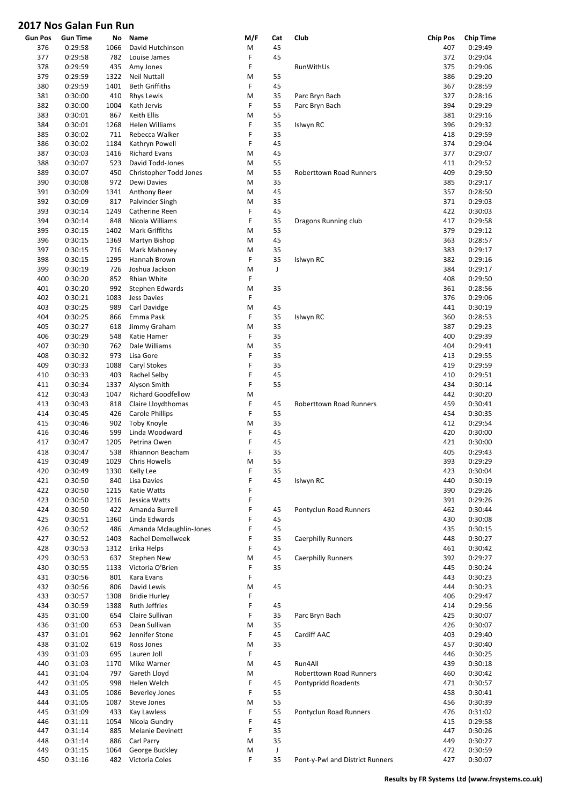| <b>Gun Pos</b> | <b>Gun Time</b> | No   | Name                      | M/F | Cat | Club                            | <b>Chip Pos</b> | <b>Chip Time</b> |
|----------------|-----------------|------|---------------------------|-----|-----|---------------------------------|-----------------|------------------|
| 376            | 0:29:58         | 1066 | David Hutchinson          | М   | 45  |                                 | 407             | 0:29:49          |
| 377            | 0:29:58         | 782  | Louise James              | F   | 45  |                                 | 372             | 0:29:04          |
| 378            | 0:29:59         | 435  | Amy Jones                 | F   |     | RunWithUs                       | 375             | 0:29:06          |
| 379            | 0:29:59         | 1322 | <b>Neil Nuttall</b>       | M   | 55  |                                 | 386             | 0:29:20          |
| 380            | 0:29:59         | 1401 | <b>Beth Griffiths</b>     | F   | 45  |                                 | 367             | 0:28:59          |
| 381            | 0:30:00         | 410  | <b>Rhys Lewis</b>         | M   | 35  | Parc Bryn Bach                  | 327             | 0:28:16          |
| 382            | 0:30:00         | 1004 | Kath Jervis               | F   | 55  |                                 | 394             | 0:29:29          |
| 383            | 0:30:01         | 867  | Keith Ellis               | M   | 55  | Parc Bryn Bach                  | 381             | 0:29:16          |
|                |                 |      |                           | F   | 35  |                                 |                 |                  |
| 384            | 0:30:01         | 1268 | Helen Williams            |     |     | Islwyn RC                       | 396             | 0:29:32          |
| 385            | 0:30:02         | 711  | Rebecca Walker            | F   | 35  |                                 | 418             | 0:29:59          |
| 386            | 0:30:02         | 1184 | Kathryn Powell            | F   | 45  |                                 | 374             | 0:29:04          |
| 387            | 0:30:03         | 1416 | <b>Richard Evans</b>      | M   | 45  |                                 | 377             | 0:29:07          |
| 388            | 0:30:07         | 523  | David Todd-Jones          | M   | 55  |                                 | 411             | 0:29:52          |
| 389            | 0:30:07         | 450  | Christopher Todd Jones    | M   | 55  | <b>Roberttown Road Runners</b>  | 409             | 0:29:50          |
| 390            | 0:30:08         | 972  | Dewi Davies               | M   | 35  |                                 | 385             | 0:29:17          |
| 391            | 0:30:09         | 1341 | Anthony Beer              | M   | 45  |                                 | 357             | 0:28:50          |
| 392            | 0:30:09         | 817  | Palvinder Singh           | M   | 35  |                                 | 371             | 0:29:03          |
| 393            | 0:30:14         | 1249 | Catherine Reen            | F   | 45  |                                 | 422             | 0:30:03          |
| 394            | 0:30:14         | 848  | Nicola Williams           | F   | 35  | Dragons Running club            | 417             | 0:29:58          |
| 395            | 0:30:15         | 1402 | Mark Griffiths            | M   | 55  |                                 | 379             | 0:29:12          |
| 396            | 0:30:15         | 1369 | Martyn Bishop             | M   | 45  |                                 | 363             | 0:28:57          |
| 397            | 0:30:15         | 716  | Mark Mahoney              | M   | 35  |                                 | 383             | 0:29:17          |
| 398            | 0:30:15         | 1295 | Hannah Brown              | F   | 35  | Islwyn RC                       | 382             | 0:29:16          |
| 399            | 0:30:19         | 726  | Joshua Jackson            | M   | J   |                                 | 384             | 0:29:17          |
| 400            | 0:30:20         | 852  | Rhian White               | F   |     |                                 | 408             | 0:29:50          |
| 401            | 0:30:20         | 992  | Stephen Edwards           | M   | 35  |                                 | 361             | 0:28:56          |
| 402            | 0:30:21         | 1083 | <b>Jess Davies</b>        | F   |     |                                 | 376             | 0:29:06          |
| 403            | 0:30:25         | 989  | Carl Davidge              | M   | 45  |                                 | 441             | 0:30:19          |
| 404            | 0:30:25         | 866  | Emma Pask                 | F   | 35  | Islwyn RC                       | 360             | 0:28:53          |
| 405            | 0:30:27         | 618  | Jimmy Graham              | M   | 35  |                                 | 387             | 0:29:23          |
| 406            | 0:30:29         | 548  | Katie Hamer               | F   | 35  |                                 | 400             | 0:29:39          |
| 407            | 0:30:30         | 762  | Dale Williams             | M   | 35  |                                 | 404             | 0:29:41          |
| 408            | 0:30:32         | 973  | Lisa Gore                 | F   | 35  |                                 | 413             | 0:29:55          |
| 409            | 0:30:33         | 1088 | Caryl Stokes              | F   | 35  |                                 | 419             | 0:29:59          |
| 410            | 0:30:33         | 403  | Rachel Selby              | F   | 45  |                                 | 410             | 0:29:51          |
| 411            | 0:30:34         | 1337 | Alyson Smith              | F   | 55  |                                 | 434             | 0:30:14          |
| 412            | 0:30:43         | 1047 | <b>Richard Goodfellow</b> | M   |     |                                 | 442             | 0:30:20          |
| 413            | 0:30:43         | 818  | Claire Lloydthomas        | F   | 45  | <b>Roberttown Road Runners</b>  | 459             | 0:30:41          |
| 414            | 0:30:45         | 426  | Carole Phillips           | F   | 55  |                                 | 454             | 0:30:35          |
| 415            | 0:30:46         | 902  | Toby Knoyle               | M   | 35  |                                 | 412             | 0:29:54          |
| 416            | 0:30:46         | 599  | Linda Woodward            | F   | 45  |                                 | 420             | 0:30:00          |
| 417            | 0:30:47         | 1205 | Petrina Owen              | F   | 45  |                                 | 421             | 0:30:00          |
| 418            | 0:30:47         | 538  | Rhiannon Beacham          | F   | 35  |                                 | 405             | 0:29:43          |
| 419            | 0:30:49         | 1029 | <b>Chris Howells</b>      | М   | 55  |                                 | 393             | 0:29:29          |
| 420            | 0:30:49         | 1330 | Kelly Lee                 | F   | 35  |                                 | 423             | 0:30:04          |
| 421            | 0:30:50         | 840  | Lisa Davies               | F   | 45  | Islwyn RC                       | 440             | 0:30:19          |
| 422            | 0:30:50         | 1215 | Katie Watts               | F   |     |                                 | 390             | 0:29:26          |
| 423            | 0:30:50         | 1216 | Jessica Watts             | F   |     |                                 | 391             | 0:29:26          |
| 424            | 0:30:50         | 422  | Amanda Burrell            | F   | 45  | Pontyclun Road Runners          | 462             | 0:30:44          |
|                |                 |      | Linda Edwards             | F   | 45  |                                 |                 |                  |
| 425            | 0:30:51         | 1360 |                           | F   |     |                                 | 430             | 0:30:08          |
| 426            | 0:30:52         | 486  | Amanda Mclaughlin-Jones   |     | 45  |                                 | 435             | 0:30:15          |
| 427            | 0:30:52         | 1403 | Rachel Demellweek         | F   | 35  | <b>Caerphilly Runners</b>       | 448             | 0:30:27          |
| 428            | 0:30:53         | 1312 | Erika Helps               | F   | 45  |                                 | 461             | 0:30:42          |
| 429            | 0:30:53         | 637  | <b>Stephen New</b>        | M   | 45  | <b>Caerphilly Runners</b>       | 392             | 0:29:27          |
| 430            | 0:30:55         | 1133 | Victoria O'Brien          | F   | 35  |                                 | 445             | 0:30:24          |
| 431            | 0:30:56         | 801  | Kara Evans                | F   |     |                                 | 443             | 0:30:23          |
| 432            | 0:30:56         | 806  | David Lewis               | M   | 45  |                                 | 444             | 0:30:23          |
| 433            | 0:30:57         | 1308 | <b>Bridie Hurley</b>      | F   |     |                                 | 406             | 0:29:47          |
| 434            | 0:30:59         | 1388 | Ruth Jeffries             | F   | 45  |                                 | 414             | 0:29:56          |
| 435            | 0:31:00         | 654  | Claire Sullivan           | F   | 35  | Parc Bryn Bach                  | 425             | 0:30:07          |
| 436            | 0:31:00         | 653  | Dean Sullivan             | M   | 35  |                                 | 426             | 0:30:07          |
| 437            | 0:31:01         | 962  | Jennifer Stone            | F   | 45  | Cardiff AAC                     | 403             | 0:29:40          |
| 438            | 0:31:02         | 619  | Ross Jones                | M   | 35  |                                 | 457             | 0:30:40          |
| 439            | 0:31:03         | 695  | Lauren Joll               | F   |     |                                 | 446             | 0:30:25          |
| 440            | 0:31:03         | 1170 | Mike Warner               | M   | 45  | Run4All                         | 439             | 0:30:18          |
| 441            | 0:31:04         | 797  | Gareth Lloyd              | M   |     | Roberttown Road Runners         | 460             | 0:30:42          |
| 442            | 0:31:05         | 998  | Helen Welch               | F   | 45  | Pontypridd Roadents             | 471             | 0:30:57          |
| 443            | 0:31:05         | 1086 | <b>Beverley Jones</b>     | F   | 55  |                                 | 458             | 0:30:41          |
| 444            | 0:31:05         | 1087 | Steve Jones               | M   | 55  |                                 | 456             | 0:30:39          |
| 445            | 0:31:09         | 433  | <b>Kay Lawless</b>        | F   | 55  | Pontyclun Road Runners          | 476             | 0:31:02          |
| 446            | 0:31:11         | 1054 | Nicola Gundry             | F   | 45  |                                 | 415             | 0:29:58          |
| 447            | 0:31:14         | 885  | Melanie Devinett          | F   | 35  |                                 | 447             | 0:30:26          |
| 448            | 0:31:14         | 886  | Carl Parry                | М   | 35  |                                 | 449             | 0:30:27          |
| 449            | 0:31:15         | 1064 | George Buckley            | M   | J   |                                 | 472             | 0:30:59          |
| 450            | 0:31:16         | 482  | Victoria Coles            | F   | 35  | Pont-y-Pwl and District Runners | 427             | 0:30:07          |
|                |                 |      |                           |     |     |                                 |                 |                  |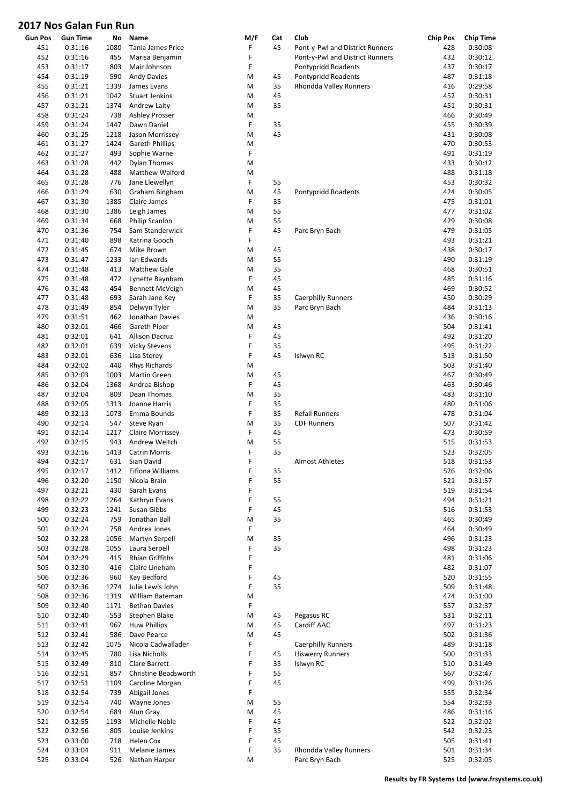| <b>Gun Pos</b> | <b>Gun Time</b> | No   | Name                    | M/F | Cat | Club                            | <b>Chip Pos</b> | <b>Chip Time</b> |
|----------------|-----------------|------|-------------------------|-----|-----|---------------------------------|-----------------|------------------|
| 451            | 0:31:16         | 1080 | Tania James Price       | F   | 45  | Pont-y-Pwl and District Runners | 428             | 0:30:08          |
| 452            | 0:31:16         | 455  | Marisa Benjamin         | F   |     | Pont-y-Pwl and District Runners | 432             | 0:30:12          |
| 453            | 0:31:17         | 803  | Mair Johnson            | F   |     | Pontypridd Roadents             | 437             | 0:30:17          |
| 454            | 0:31:19         | 590  | <b>Andy Davies</b>      | M   | 45  | Pontypridd Roadents             | 487             | 0:31:18          |
| 455            | 0:31:21         | 1339 | James Evans             | M   | 35  | Rhondda Valley Runners          | 416             | 0:29:58          |
| 456            | 0:31:21         | 1042 | <b>Stuart Jenkins</b>   | M   | 45  |                                 | 452             | 0:30:31          |
| 457            | 0:31:21         | 1374 | Andrew Laity            | M   | 35  |                                 | 451             | 0:30:31          |
| 458            | 0:31:24         | 738  | <b>Ashley Prosser</b>   | M   |     |                                 | 466             | 0:30:49          |
| 459            | 0:31:24         | 1447 | Dawn Daniel             | F   | 35  |                                 | 455             | 0:30:39          |
| 460            | 0:31:25         | 1218 | Jason Morrissey         | M   | 45  |                                 | 431             | 0:30:08          |
| 461            | 0:31:27         | 1424 | <b>Gareth Phillips</b>  | M   |     |                                 | 470             | 0:30:53          |
| 462            | 0:31:27         | 493  | Sophie Warne            | F   |     |                                 | 491             | 0:31:19          |
| 463            | 0:31:28         | 442  | <b>Dylan Thomas</b>     | M   |     |                                 | 433             | 0:30:12          |
| 464            | 0:31:28         | 488  | Matthew Walford         | M   |     |                                 | 488             | 0:31:18          |
| 465            | 0:31:28         | 776  | Jane Llewellyn          | F   | 55  |                                 | 453             | 0:30:32          |
| 466            | 0:31:29         | 630  | Graham Bingham          | M   | 45  | Pontypridd Roadents             | 424             | 0:30:05          |
|                |                 |      |                         | F   | 35  |                                 |                 |                  |
| 467            | 0:31:30         | 1385 | Claire James            |     |     |                                 | 475             | 0:31:01          |
| 468            | 0:31:30         | 1386 | Leigh James             | M   | 55  |                                 | 477             | 0:31:02          |
| 469            | 0:31:34         | 668  | Philip Scanlon          | M   | 55  |                                 | 429             | 0:30:08          |
| 470            | 0:31:36         | 754  | Sam Standerwick         | F   | 45  | Parc Bryn Bach                  | 479             | 0:31:05          |
| 471            | 0:31:40         | 898  | Katrina Gooch           | F   |     |                                 | 493             | 0:31:21          |
| 472            | 0:31:45         | 674  | Mike Brown              | M   | 45  |                                 | 438             | 0:30:17          |
| 473            | 0:31:47         | 1233 | lan Edwards             | M   | 55  |                                 | 490             | 0:31:19          |
| 474            | 0:31:48         | 413  | Matthew Gale            | M   | 35  |                                 | 468             | 0:30:51          |
| 475            | 0:31:48         | 472  | Lynette Baynham         | F   | 45  |                                 | 485             | 0:31:16          |
| 476            | 0:31:48         | 454  | Bennett McVeigh         | M   | 45  |                                 | 469             | 0:30:52          |
| 477            | 0:31:48         | 693  | Sarah Jane Key          | F   | 35  | <b>Caerphilly Runners</b>       | 450             | 0:30:29          |
| 478            | 0:31:49         | 854  | Delwyn Tyler            | M   | 35  | Parc Bryn Bach                  | 484             | 0:31:13          |
| 479            | 0:31:51         | 462  | Jonathan Davies         | M   |     |                                 | 436             | 0:30:16          |
| 480            | 0:32:01         | 466  | Gareth Piper            | M   | 45  |                                 | 504             | 0:31:41          |
| 481            | 0:32:01         | 641  | <b>Allison Dacruz</b>   | F   | 45  |                                 | 492             | 0:31:20          |
| 482            | 0:32:01         | 639  | <b>Vicky Stevens</b>    | F   | 35  |                                 | 495             | 0:31:22          |
| 483            | 0:32:01         | 636  | Lisa Storey             | F   | 45  | Islwyn RC                       | 513             | 0:31:50          |
| 484            | 0:32:02         | 440  | <b>Rhys Richards</b>    | M   |     |                                 | 503             | 0:31:40          |
| 485            | 0:32:03         | 1003 | Martin Green            | M   | 45  |                                 | 467             | 0:30:49          |
| 486            | 0:32:04         | 1368 | Andrea Bishop           | F   | 45  |                                 | 463             | 0:30:46          |
| 487            | 0:32:04         | 809  | Dean Thomas             | M   | 35  |                                 | 483             | 0:31:10          |
| 488            | 0:32:05         | 1313 | Joanne Harris           | F   | 35  |                                 | 480             | 0:31:06          |
| 489            | 0:32:13         | 1073 | Emma Bounds             | F   | 35  | <b>Refail Runners</b>           | 478             | 0:31:04          |
| 490            | 0:32:14         | 547  | Steve Ryan              | M   | 35  | <b>CDF Runners</b>              | 507             | 0:31:42          |
| 491            | 0:32:14         | 1217 | <b>Claire Morrissey</b> | F   | 45  |                                 | 473             | 0:30:59          |
| 492            | 0:32:15         | 943  | Andrew Weltch           | M   | 55  |                                 | 515             | 0:31:53          |
|                |                 |      |                         | F   | 35  |                                 | 523             |                  |
| 493            | 0:32:16         | 1413 | <b>Catrin Morris</b>    | F   |     |                                 |                 | 0:32:05          |
| 494            | 0:32:17         | 631  | Sian David              |     |     | <b>Almost Athletes</b>          | 518             | 0:31:53          |
| 495            | 0:32:17         | 1412 | Eifiona Williams        | F   | 35  |                                 | 526             | 0:32:06          |
| 496            | 0:32:20         | 1150 | Nicola Brain            | F   | 55  |                                 | 521             | 0:31:57          |
| 497            | 0:32:21         | 430  | Sarah Evans             | F   |     |                                 | 519             | 0:31:54          |
| 498            | 0:32:22         | 1264 | Kathryn Evans           | F   | 55  |                                 | 494             | 0:31:21          |
| 499            | 0:32:23         | 1241 | Susan Gibbs             | F   | 45  |                                 | 516             | 0:31:53          |
| 500            | 0:32:24         | 759  | Jonathan Ball           | M   | 35  |                                 | 465             | 0:30:49          |
| 501            | 0:32:24         | 758  | Andrea Jones            | F   |     |                                 | 464             | 0:30:49          |
| 502            | 0:32:28         | 1056 | Martyn Serpell          | M   | 35  |                                 | 496             | 0:31:23          |
| 503            | 0:32:28         | 1055 | Laura Serpell           | F   | 35  |                                 | 498             | 0:31:23          |
| 504            | 0:32:29         | 415  | Rhian Griffiths         | F   |     |                                 | 481             | 0:31:06          |
| 505            | 0:32:30         | 416  | Claire Lineham          | F   |     |                                 | 482             | 0:31:07          |
| 506            | 0:32:36         | 960  | Kay Bedford             | F   | 45  |                                 | 520             | 0:31:55          |
| 507            | 0:32:36         | 1274 | Julie Lewis John        | F   | 35  |                                 | 509             | 0:31:48          |
| 508            | 0:32:36         | 1319 | William Bateman         | M   |     |                                 | 474             | 0:31:00          |
| 509            | 0:32:40         | 1171 | <b>Bethan Davies</b>    | F   |     |                                 | 557             | 0:32:37          |
| 510            | 0:32:40         | 553  | Stephen Blake           | M   | 45  | Pegasus RC                      | 531             | 0:32:11          |
| 511            | 0:32:41         | 967  | <b>Huw Phillips</b>     | M   | 45  | Cardiff AAC                     | 497             | 0:31:23          |
| 512            | 0:32:41         | 586  | Dave Pearce             | M   | 45  |                                 | 502             | 0:31:36          |
| 513            | 0:32:42         | 1075 | Nicola Cadwallader      | F   |     | <b>Caerphilly Runners</b>       | 489             | 0:31:18          |
| 514            | 0:32:45         | 780  | Lisa Nicholls           | F   | 45  | <b>Lliswerry Runners</b>        | 500             | 0:31:33          |
| 515            | 0:32:49         | 810  | Clare Barrett           | F   | 35  | Islwyn RC                       | 510             | 0:31:49          |
|                |                 |      |                         | F   | 55  |                                 |                 |                  |
| 516            | 0:32:51         | 857  | Christine Beadsworth    |     |     |                                 | 567             | 0:32:47          |
| 517            | 0:32:51         | 1109 | Caroline Morgan         | F   | 45  |                                 | 499             | 0:31:26          |
| 518            | 0:32:54         | 739  | Abigail Jones           | F   |     |                                 | 555             | 0:32:34          |
| 519            | 0:32:54         | 740  | Wayne Jones             | M   | 55  |                                 | 554             | 0:32:33          |
| 520            | 0:32:54         | 689  | Alun Gray               | M   | 45  |                                 | 486             | 0:31:16          |
| 521            | 0:32:55         | 1193 | Michelle Noble          | F   | 45  |                                 | 522             | 0:32:02          |
| 522            | 0:32:56         | 805  | Louise Jenkins          | F   | 35  |                                 | 542             | 0:32:23          |
| 523            | 0:33:00         | 718  | Helen Cox               | F   | 45  |                                 | 505             | 0:31:41          |
| 524            | 0:33:04         | 911  | Melanie James           | F   | 35  | Rhondda Valley Runners          | 501             | 0:31:34          |
| 525            | 0:33:04         | 526  | Nathan Harper           | M   |     | Parc Bryn Bach                  | 525             | 0:32:05          |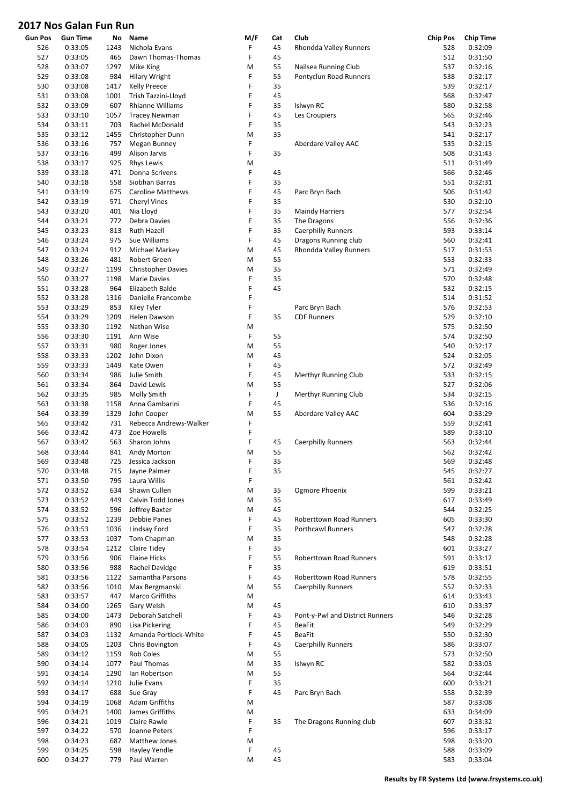| Gun Pos | <b>Gun Time</b> | No   | Name                      | M/F | Cat         | Club                            | <b>Chip Pos</b> | <b>Chip Time</b> |
|---------|-----------------|------|---------------------------|-----|-------------|---------------------------------|-----------------|------------------|
| 526     | 0:33:05         | 1243 | Nichola Evans             | F   | 45          | Rhondda Valley Runners          | 528             | 0:32:09          |
| 527     | 0:33:05         | 465  | Dawn Thomas-Thomas        | F   | 45          |                                 | 512             | 0:31:50          |
| 528     | 0:33:07         | 1297 | Mike King                 | M   | 55          | Nailsea Running Club            | 537             | 0:32:16          |
| 529     | 0:33:08         | 984  | <b>Hilary Wright</b>      | F   | 55          | Pontyclun Road Runners          | 538             | 0:32:17          |
| 530     | 0:33:08         | 1417 | <b>Kelly Preece</b>       | F   | 35          |                                 | 539             | 0:32:17          |
| 531     | 0:33:08         | 1001 | Trish Tazzini-Lloyd       | F   | 45          |                                 | 568             | 0:32:47          |
|         |                 |      |                           |     |             |                                 |                 |                  |
| 532     | 0:33:09         | 607  | Rhianne Williams          | F   | 35          | Islwyn RC                       | 580             | 0:32:58          |
| 533     | 0:33:10         | 1057 | <b>Tracey Newman</b>      | F   | 45          | Les Croupiers                   | 565             | 0:32:46          |
| 534     | 0:33:11         | 703  | Rachel McDonald           | F   | 35          |                                 | 543             | 0:32:23          |
| 535     | 0:33:12         | 1455 | Christopher Dunn          | M   | 35          |                                 | 541             | 0:32:17          |
| 536     | 0:33:16         | 757  | Megan Bunney              | F   |             | Aberdare Valley AAC             | 535             | 0:32:15          |
| 537     | 0:33:16         | 499  | Alison Jarvis             | F   | 35          |                                 | 508             | 0:31:43          |
| 538     | 0:33:17         | 925  | <b>Rhys Lewis</b>         | M   |             |                                 | 511             | 0:31:49          |
| 539     | 0:33:18         | 471  | Donna Scrivens            | F   | 45          |                                 | 566             | 0:32:46          |
|         |                 | 558  | Siobhan Barras            | F   | 35          |                                 | 551             |                  |
| 540     | 0:33:18         |      |                           |     |             |                                 |                 | 0:32:31          |
| 541     | 0:33:19         | 675  | <b>Caroline Matthews</b>  | F   | 45          | Parc Bryn Bach                  | 506             | 0:31:42          |
| 542     | 0:33:19         | 571  | <b>Cheryl Vines</b>       | F   | 35          |                                 | 530             | 0:32:10          |
| 543     | 0:33:20         | 401  | Nia Lloyd                 | F   | 35          | <b>Maindy Harriers</b>          | 577             | 0:32:54          |
| 544     | 0:33:21         | 772  | Debra Davies              | F   | 35          | The Dragons                     | 556             | 0:32:36          |
| 545     | 0:33:23         | 813  | Ruth Hazell               | F   | 35          | <b>Caerphilly Runners</b>       | 593             | 0:33:14          |
| 546     | 0:33:24         | 975  | Sue Williams              | F   | 45          | Dragons Running club            | 560             | 0:32:41          |
| 547     | 0:33:24         | 912  | Michael Markey            | M   | 45          | Rhondda Valley Runners          | 517             | 0:31:53          |
| 548     | 0:33:26         | 481  | Robert Green              | M   | 55          |                                 | 553             | 0:32:33          |
|         |                 |      |                           |     |             |                                 |                 |                  |
| 549     | 0:33:27         | 1199 | <b>Christopher Davies</b> | M   | 35          |                                 | 571             | 0:32:49          |
| 550     | 0:33:27         | 1198 | Marie Davies              | F   | 35          |                                 | 570             | 0:32:48          |
| 551     | 0:33:28         | 964  | Elizabeth Balde           | F   | 45          |                                 | 532             | 0:32:15          |
| 552     | 0:33:28         | 1316 | Danielle Francombe        | F   |             |                                 | 514             | 0:31:52          |
| 553     | 0:33:29         | 853  | Kiley Tyler               | F   |             | Parc Bryn Bach                  | 576             | 0:32:53          |
| 554     | 0:33:29         | 1209 | Helen Dawson              | F   | 35          | <b>CDF Runners</b>              | 529             | 0:32:10          |
| 555     | 0:33:30         | 1192 | Nathan Wise               | M   |             |                                 | 575             | 0:32:50          |
| 556     | 0:33:30         | 1191 | Ann Wise                  | F   | 55          |                                 | 574             | 0:32:50          |
|         |                 |      |                           |     |             |                                 |                 |                  |
| 557     | 0:33:31         | 980  | Roger Jones               | M   | 55          |                                 | 540             | 0:32:17          |
| 558     | 0:33:33         | 1202 | John Dixon                | M   | 45          |                                 | 524             | 0:32:05          |
| 559     | 0:33:33         | 1449 | Kate Owen                 | F   | 45          |                                 | 572             | 0:32:49          |
| 560     | 0:33:34         | 986  | Julie Smith               | F   | 45          | Merthyr Running Club            | 533             | 0:32:15          |
| 561     | 0:33:34         | 864  | David Lewis               | M   | 55          |                                 | 527             | 0:32:06          |
| 562     | 0:33:35         | 985  | <b>Molly Smith</b>        | F   | $\mathsf J$ | Merthyr Running Club            | 534             | 0:32:15          |
| 563     | 0:33:38         | 1158 | Anna Gambarini            | F   | 45          |                                 | 536             | 0:32:16          |
| 564     | 0:33:39         | 1329 | John Cooper               | M   | 55          | Aberdare Valley AAC             | 604             | 0:33:29          |
| 565     | 0:33:42         | 731  | Rebecca Andrews-Walker    | F   |             |                                 | 559             | 0:32:41          |
|         |                 |      |                           |     |             |                                 |                 |                  |
| 566     | 0:33:42         | 473  | Zoe Howells               | F   |             |                                 | 589             | 0:33:10          |
| 567     | 0:33:42         | 563  | Sharon Johns              | F   | 45          | <b>Caerphilly Runners</b>       | 563             | 0:32:44          |
| 568     | 0:33:44         | 841  | Andy Morton               | M   | 55          |                                 | 562             | 0:32:42          |
| 569     | 0:33:48         | 725  | Jessica Jackson           | F   | 35          |                                 | 569             | 0:32:48          |
| 570     | 0:33:48         | 715  | Jayne Palmer              | F   | 35          |                                 | 545             | 0:32:27          |
| 571     | 0:33:50         | 795  | Laura Willis              | F   |             |                                 | 561             | 0:32:42          |
| 572     | 0:33:52         | 634  | Shawn Cullen              | M   | 35          | Ogmore Phoenix                  | 599             | 0:33:21          |
| 573     | 0:33:52         | 449  | Calvin Todd Jones         | M   | 35          |                                 | 617             | 0:33:49          |
| 574     | 0:33:52         | 596  | Jeffrey Baxter            | M   | 45          |                                 | 544             | 0:32:25          |
|         |                 |      |                           |     |             |                                 |                 |                  |
| 575     | 0:33:52         | 1239 | Debbie Panes              | F   | 45          | <b>Roberttown Road Runners</b>  | 605             | 0:33:30          |
| 576     | 0:33:53         | 1036 | Lindsay Ford              | F   | 35          | <b>Porthcawl Runners</b>        | 547             | 0:32:28          |
| 577     | 0:33:53         | 1037 | Tom Chapman               | M   | 35          |                                 | 548             | 0:32:28          |
| 578     | 0:33:54         | 1212 | Claire Tidey              | F   | 35          |                                 | 601             | 0:33:27          |
| 579     | 0:33:56         | 906  | <b>Elaine Hicks</b>       | F   | 55          | <b>Roberttown Road Runners</b>  | 591             | 0:33:12          |
| 580     | 0:33:56         | 988  | Rachel Davidge            | F   | 35          |                                 | 619             | 0:33:51          |
| 581     | 0:33:56         | 1122 | Samantha Parsons          | F   | 45          | Roberttown Road Runners         | 578             | 0:32:55          |
| 582     | 0:33:56         | 1010 | Max Bergmanski            | M   | 55          | <b>Caerphilly Runners</b>       | 552             | 0:32:33          |
|         |                 |      |                           |     |             |                                 |                 |                  |
| 583     | 0:33:57         | 447  | Marco Griffiths           | M   |             |                                 | 614             | 0:33:43          |
| 584     | 0:34:00         | 1265 | Gary Welsh                | M   | 45          |                                 | 610             | 0:33:37          |
| 585     | 0:34:00         | 1473 | Deborah Satchell          | F   | 45          | Pont-y-Pwl and District Runners | 546             | 0:32:28          |
| 586     | 0:34:03         | 890  | Lisa Pickering            | F   | 45          | <b>BeaFit</b>                   | 549             | 0:32:29          |
| 587     | 0:34:03         | 1132 | Amanda Portlock-White     | F   | 45          | <b>BeaFit</b>                   | 550             | 0:32:30          |
| 588     | 0:34:05         | 1203 | Chris Bovington           | F   | 45          | <b>Caerphilly Runners</b>       | 586             | 0:33:07          |
| 589     | 0:34:12         | 1159 | <b>Rob Coles</b>          | M   | 55          |                                 | 573             | 0:32:50          |
| 590     | 0:34:14         | 1077 | Paul Thomas               | M   | 35          | Islwyn RC                       | 582             | 0:33:03          |
|         |                 |      |                           |     |             |                                 |                 |                  |
| 591     | 0:34:14         | 1290 | lan Robertson             | M   | 55          |                                 | 564             | 0:32:44          |
| 592     | 0:34:14         | 1210 | Julie Evans               | F   | 35          |                                 | 600             | 0:33:21          |
| 593     | 0:34:17         | 688  | Sue Gray                  | F   | 45          | Parc Bryn Bach                  | 558             | 0:32:39          |
| 594     | 0:34:19         | 1068 | Adam Griffiths            | M   |             |                                 | 587             | 0:33:08          |
| 595     | 0:34:21         | 1400 | James Griffiths           | M   |             |                                 | 633             | 0:34:09          |
| 596     | 0:34:21         | 1019 | Claire Rawle              | F   | 35          | The Dragons Running club        | 607             | 0:33:32          |
| 597     | 0:34:22         | 570  | Joanne Peters             | F   |             |                                 | 596             | 0:33:17          |
| 598     | 0:34:23         | 687  | Matthew Jones             | M   |             |                                 | 598             | 0:33:20          |
|         |                 |      |                           |     |             |                                 |                 |                  |
| 599     | 0:34:25         | 598  | Hayley Yendle             | F   | 45          |                                 | 588             | 0:33:09          |
| 600     | 0:34:27         | 779  | Paul Warren               | M   | 45          |                                 | 583             | 0:33:04          |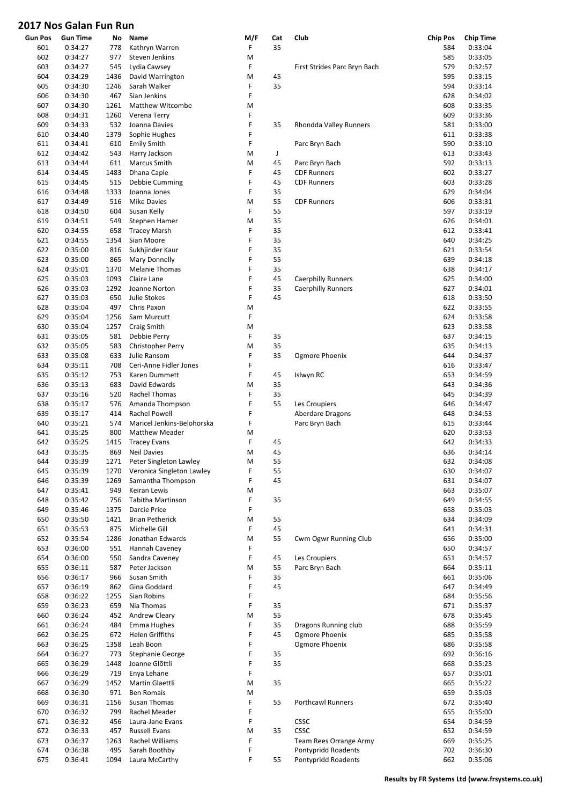| <b>Gun Pos</b> | <b>Gun Time</b> | No   | Name                       | M/F | Cat | Club                         | <b>Chip Pos</b> | <b>Chip Time</b> |
|----------------|-----------------|------|----------------------------|-----|-----|------------------------------|-----------------|------------------|
| 601            | 0:34:27         | 778  | Kathryn Warren             | F   | 35  |                              | 584             | 0:33:04          |
| 602            | 0:34:27         | 977  | Steven Jenkins             | M   |     |                              | 585             | 0:33:05          |
| 603            | 0:34:27         | 545  | Lydia Cawsey               | F   |     | First Strides Parc Bryn Bach | 579             | 0:32:57          |
| 604            | 0:34:29         | 1436 | David Warrington           | M   | 45  |                              | 595             | 0:33:15          |
| 605            | 0:34:30         | 1246 | Sarah Walker               | F   | 35  |                              | 594             | 0:33:14          |
| 606            | 0:34:30         | 467  | Sian Jenkins               | F   |     |                              | 628             | 0:34:02          |
| 607            | 0:34:30         | 1261 | Matthew Witcombe           | M   |     |                              | 608             | 0:33:35          |
| 608            | 0:34:31         | 1260 | Verena Terry               | F   |     |                              | 609             | 0:33:36          |
| 609            | 0:34:33         | 532  | Joanna Davies              | F   | 35  | Rhondda Valley Runners       | 581             | 0:33:00          |
| 610            | 0:34:40         | 1379 | Sophie Hughes              | F   |     |                              | 611             | 0:33:38          |
| 611            | 0:34:41         | 610  | <b>Emily Smith</b>         | F   |     | Parc Bryn Bach               | 590             | 0:33:10          |
| 612            | 0:34:42         | 543  | Harry Jackson              | M   | J   |                              | 613             | 0:33:43          |
|                |                 |      |                            |     |     |                              |                 |                  |
| 613            | 0:34:44         | 611  | Marcus Smith               | M   | 45  | Parc Bryn Bach               | 592             | 0:33:13          |
| 614            | 0:34:45         | 1483 | Dhana Caple                | F   | 45  | <b>CDF Runners</b>           | 602             | 0:33:27          |
| 615            | 0:34:45         | 515  | Debbie Cumming             | F   | 45  | <b>CDF Runners</b>           | 603             | 0:33:28          |
| 616            | 0:34:48         | 1333 | Joanna Jones               | F   | 35  |                              | 629             | 0:34:04          |
| 617            | 0:34:49         | 516  | <b>Mike Davies</b>         | M   | 55  | <b>CDF Runners</b>           | 606             | 0:33:31          |
| 618            | 0:34:50         | 604  | Susan Kelly                | F   | 55  |                              | 597             | 0:33:19          |
| 619            | 0:34:51         | 549  | Stephen Hamer              | M   | 35  |                              | 626             | 0:34:01          |
| 620            | 0:34:55         | 658  | <b>Tracey Marsh</b>        | F   | 35  |                              | 612             | 0:33:41          |
| 621            | 0:34:55         | 1354 | Sian Moore                 | F   | 35  |                              | 640             | 0:34:25          |
| 622            | 0:35:00         | 816  | Sukhjinder Kaur            | F   | 35  |                              | 621             | 0:33:54          |
| 623            | 0:35:00         | 865  | <b>Mary Donnelly</b>       | F   | 55  |                              | 639             | 0:34:18          |
| 624            | 0:35:01         | 1370 | <b>Melanie Thomas</b>      | F   | 35  |                              | 638             | 0:34:17          |
| 625            | 0:35:03         | 1093 | Claire Lane                | F   | 45  | <b>Caerphilly Runners</b>    | 625             | 0:34:00          |
| 626            | 0:35:03         | 1292 | Joanne Norton              | F   | 35  | <b>Caerphilly Runners</b>    | 627             | 0:34:01          |
| 627            | 0:35:03         | 650  | Julie Stokes               | F   | 45  |                              | 618             | 0:33:50          |
|                |                 |      | Chris Paxon                | M   |     |                              | 622             |                  |
| 628            | 0:35:04         | 497  |                            |     |     |                              |                 | 0:33:55          |
| 629            | 0:35:04         | 1256 | Sam Murcutt                | F   |     |                              | 624             | 0:33:58          |
| 630            | 0:35:04         | 1257 | Craig Smith                | M   |     |                              | 623             | 0:33:58          |
| 631            | 0:35:05         | 581  | Debbie Perry               | F   | 35  |                              | 637             | 0:34:15          |
| 632            | 0:35:05         | 583  | <b>Christopher Perry</b>   | M   | 35  |                              | 635             | 0:34:13          |
| 633            | 0:35:08         | 633  | Julie Ransom               | F   | 35  | Ogmore Phoenix               | 644             | 0:34:37          |
| 634            | 0:35:11         | 708  | Ceri-Anne Fidler Jones     | F   |     |                              | 616             | 0:33:47          |
| 635            | 0:35:12         | 753  | Karen Dummett              | F   | 45  | Islwyn RC                    | 653             | 0:34:59          |
| 636            | 0:35:13         | 683  | David Edwards              | M   | 35  |                              | 643             | 0:34:36          |
| 637            | 0:35:16         | 520  | Rachel Thomas              | F   | 35  |                              | 645             | 0:34:39          |
| 638            | 0:35:17         | 576  | Amanda Thompson            | F   | 55  | Les Croupiers                | 646             | 0:34:47          |
| 639            | 0:35:17         | 414  | <b>Rachel Powell</b>       | F   |     | Aberdare Dragons             | 648             | 0:34:53          |
| 640            | 0:35:21         | 574  | Maricel Jenkins-Belohorska | F   |     | Parc Bryn Bach               | 615             | 0:33:44          |
| 641            | 0:35:25         | 800  | <b>Matthew Meader</b>      | M   |     |                              | 620             | 0:33:53          |
| 642            | 0:35:25         | 1415 | <b>Tracey Evans</b>        | F   | 45  |                              | 642             | 0:34:33          |
| 643            | 0:35:35         | 869  | <b>Neil Davies</b>         | M   | 45  |                              | 636             | 0:34:14          |
|                |                 |      |                            |     |     |                              |                 |                  |
| 644            | 0:35:39         | 1271 | Peter Singleton Lawley     | M   | 55  |                              | 632             | 0:34:08          |
| 645            | 0:35:39         | 1270 | Veronica Singleton Lawley  | F   | 55  |                              | 630             | 0:34:07          |
| 646            | 0:35:39         | 1269 | Samantha Thompson          | F   | 45  |                              | 631             | 0:34:07          |
| 647            | 0:35:41         | 949  | Keiran Lewis               | M   |     |                              | 663             | 0:35:07          |
| 648            | 0:35:42         | 756  | Tabitha Martinson          | F   | 35  |                              | 649             | 0:34:55          |
| 649            | 0:35:46         | 1375 | Darcie Price               | F   |     |                              | 658             | 0:35:03          |
| 650            | 0:35:50         | 1421 | <b>Brian Petherick</b>     | M   | 55  |                              | 634             | 0:34:09          |
| 651            | 0:35:53         | 875  | Michelle Gill              | F   | 45  |                              | 641             | 0:34:31          |
| 652            | 0:35:54         | 1286 | Jonathan Edwards           | M   | 55  | Cwm Ogwr Running Club        | 656             | 0:35:00          |
| 653            | 0:36:00         | 551  | Hannah Caveney             | F   |     |                              | 650             | 0:34:57          |
| 654            | 0:36:00         | 550  | Sandra Caveney             | F   | 45  | Les Croupiers                | 651             | 0:34:57          |
| 655            | 0:36:11         | 587  | Peter Jackson              | M   | 55  | Parc Bryn Bach               | 664             | 0:35:11          |
| 656            | 0:36:17         | 966  | Susan Smith                | F   | 35  |                              | 661             | 0:35:06          |
| 657            | 0:36:19         | 862  | Gina Goddard               | F   | 45  |                              | 647             | 0:34:49          |
| 658            | 0:36:22         | 1255 | Sian Robins                | F   |     |                              | 684             | 0:35:56          |
| 659            | 0:36:23         | 659  | Nia Thomas                 | F   | 35  |                              | 671             | 0:35:37          |
|                |                 |      |                            |     |     |                              |                 |                  |
| 660            | 0:36:24         | 452  | Andrew Cleary              | M   | 55  |                              | 678             | 0:35:45          |
| 661            | 0:36:24         | 484  | Emma Hughes                | F   | 35  | Dragons Running club         | 688             | 0:35:59          |
| 662            | 0:36:25         | 672  | Helen Griffiths            | F   | 45  | Ogmore Phoenix               | 685             | 0:35:58          |
| 663            | 0:36:25         | 1358 | Leah Boon                  | F   |     | Ogmore Phoenix               | 686             | 0:35:58          |
| 664            | 0:36:27         | 773  | <b>Stephanie George</b>    | F   | 35  |                              | 692             | 0:36:16          |
| 665            | 0:36:29         | 1448 | Joanne Glõttli             | F   | 35  |                              | 668             | 0:35:23          |
| 666            | 0:36:29         | 719  | Enya Lehane                | F   |     |                              | 657             | 0:35:01          |
| 667            | 0:36:29         | 1452 | Martin Glaettli            | M   | 35  |                              | 665             | 0:35:22          |
| 668            | 0:36:30         | 971  | <b>Ben Romais</b>          | M   |     |                              | 659             | 0:35:03          |
| 669            | 0:36:31         | 1156 | Susan Thomas               | F   | 55  | Porthcawl Runners            | 672             | 0:35:40          |
| 670            | 0:36:32         | 799  | Rachel Meader              | F   |     |                              | 655             | 0:35:00          |
| 671            | 0:36:32         | 456  | Laura-Jane Evans           | F   |     | <b>CSSC</b>                  | 654             | 0:34:59          |
| 672            | 0:36:33         | 457  | Russell Evans              | M   | 35  | <b>CSSC</b>                  | 652             | 0:34:59          |
| 673            | 0:36:37         | 1263 | Rachel Williams            | F   |     | Team Rees Orrange Army       | 669             | 0:35:25          |
| 674            | 0:36:38         | 495  | Sarah Boothby              | F   |     | Pontypridd Roadents          | 702             | 0:36:30          |
| 675            | 0:36:41         | 1094 | Laura McCarthy             | F   | 55  | Pontypridd Roadents          | 662             | 0:35:06          |
|                |                 |      |                            |     |     |                              |                 |                  |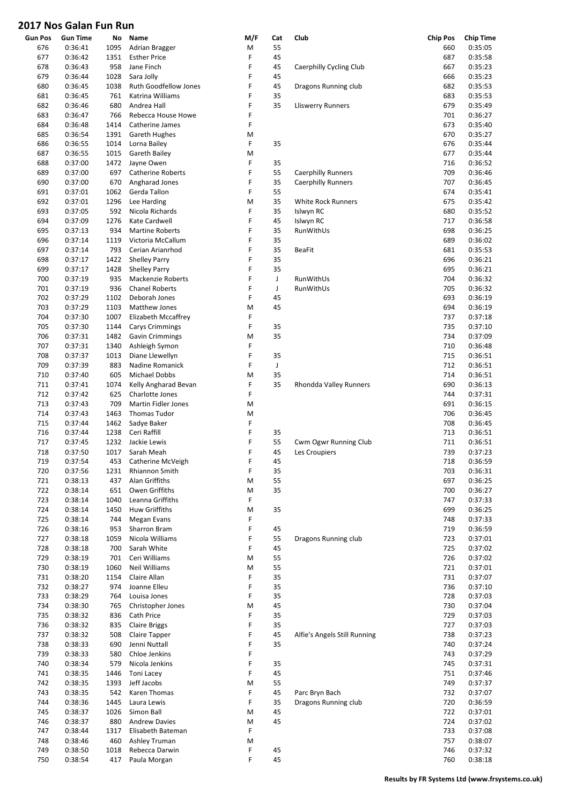| <b>Gun Pos</b> | <b>Gun Time</b> | No   | Name                       | M/F | Cat         | Club                         | <b>Chip Pos</b> | <b>Chip Time</b> |
|----------------|-----------------|------|----------------------------|-----|-------------|------------------------------|-----------------|------------------|
| 676            | 0:36:41         | 1095 | Adrian Bragger             | M   | 55          |                              | 660             | 0:35:05          |
| 677            | 0:36:42         | 1351 | <b>Esther Price</b>        | F   | 45          |                              | 687             | 0:35:58          |
| 678            | 0:36:43         | 958  | Jane Finch                 | F   | 45          | Caerphilly Cycling Club      | 667             | 0:35:23          |
| 679            | 0:36:44         | 1028 | Sara Jolly                 | F   | 45          |                              | 666             | 0:35:23          |
| 680            | 0:36:45         | 1038 | Ruth Goodfellow Jones      | F   | 45          | Dragons Running club         | 682             | 0:35:53          |
| 681            | 0:36:45         | 761  | Katrina Williams           | F   | 35          |                              | 683             | 0:35:53          |
| 682            | 0:36:46         | 680  | Andrea Hall                | F   | 35          | <b>Lliswerry Runners</b>     | 679             | 0:35:49          |
| 683            | 0:36:47         | 766  | Rebecca House Howe         | F   |             |                              | 701             | 0:36:27          |
| 684            | 0:36:48         | 1414 | Catherine James            | F   |             |                              | 673             | 0:35:40          |
| 685            | 0:36:54         | 1391 | <b>Gareth Hughes</b>       | M   |             |                              | 670             | 0:35:27          |
| 686            | 0:36:55         | 1014 | Lorna Bailey               | F   | 35          |                              | 676             | 0:35:44          |
| 687            | 0:36:55         | 1015 | Gareth Bailey              | M   |             |                              | 677             | 0:35:44          |
| 688            | 0:37:00         | 1472 | Jayne Owen                 | F   | 35          |                              | 716             | 0:36:52          |
| 689            | 0:37:00         | 697  | Catherine Roberts          | F   | 55          | <b>Caerphilly Runners</b>    | 709             | 0:36:46          |
| 690            | 0:37:00         | 670  | Angharad Jones             | F   | 35          | Caerphilly Runners           | 707             | 0:36:45          |
| 691            | 0:37:01         | 1062 | Gerda Tallon               | F   | 55          |                              | 674             | 0:35:41          |
|                |                 |      |                            |     |             |                              |                 |                  |
| 692            | 0:37:01         | 1296 | Lee Harding                | M   | 35          | White Rock Runners           | 675             | 0:35:42          |
| 693            | 0:37:05         | 592  | Nicola Richards            | F   | 35          | Islwyn RC                    | 680             | 0:35:52          |
| 694            | 0:37:09         | 1276 | Kate Cardwell              | F   | 45          | Islwyn RC                    | 717             | 0:36:58          |
| 695            | 0:37:13         | 934  | <b>Martine Roberts</b>     | F   | 35          | RunWithUs                    | 698             | 0:36:25          |
| 696            | 0:37:14         | 1119 | Victoria McCallum          | F   | 35          |                              | 689             | 0:36:02          |
| 697            | 0:37:14         | 793  | Cerian Arianrhod           | F   | 35          | <b>BeaFit</b>                | 681             | 0:35:53          |
| 698            | 0:37:17         | 1422 | <b>Shelley Parry</b>       | F   | 35          |                              | 696             | 0:36:21          |
| 699            | 0:37:17         | 1428 | <b>Shelley Parry</b>       | F   | 35          |                              | 695             | 0:36:21          |
| 700            | 0:37:19         | 935  | Mackenzie Roberts          | F   | $\mathsf J$ | RunWithUs                    | 704             | 0:36:32          |
| 701            | 0:37:19         | 936  | <b>Chanel Roberts</b>      | F   | J           | RunWithUs                    | 705             | 0:36:32          |
| 702            | 0:37:29         | 1102 | Deborah Jones              | F   | 45          |                              | 693             | 0:36:19          |
| 703            | 0:37:29         | 1103 | Matthew Jones              | M   | 45          |                              | 694             | 0:36:19          |
| 704            | 0:37:30         | 1007 | Elizabeth Mccaffrey        | F   |             |                              | 737             | 0:37:18          |
| 705            | 0:37:30         | 1144 | <b>Carys Crimmings</b>     | F   | 35          |                              | 735             | 0:37:10          |
| 706            | 0:37:31         | 1482 | <b>Gavin Crimmings</b>     | M   | 35          |                              | 734             | 0:37:09          |
| 707            | 0:37:31         | 1340 | Ashleigh Symon             | F   |             |                              | 710             | 0:36:48          |
|                |                 |      |                            | F   | 35          |                              |                 |                  |
| 708            | 0:37:37         | 1013 | Diane Llewellyn            |     |             |                              | 715             | 0:36:51          |
| 709            | 0:37:39         | 883  | <b>Nadine Romanick</b>     | F   | J           |                              | 712             | 0:36:51          |
| 710            | 0:37:40         | 605  | Michael Dobbs              | M   | 35          |                              | 714             | 0:36:51          |
| 711            | 0:37:41         | 1074 | Kelly Angharad Bevan       | F   | 35          | Rhondda Valley Runners       | 690             | 0:36:13          |
| 712            | 0:37:42         | 625  | Charlotte Jones            | F   |             |                              | 744             | 0:37:31          |
| 713            | 0:37:43         | 709  | <b>Martin Fidler Jones</b> | M   |             |                              | 691             | 0:36:15          |
| 714            | 0:37:43         | 1463 | <b>Thomas Tudor</b>        | M   |             |                              | 706             | 0:36:45          |
| 715            | 0:37:44         | 1462 | Sadye Baker                | F   |             |                              | 708             | 0:36:45          |
| 716            | 0:37:44         | 1238 | Ceri Raffill               | F   | 35          |                              | 713             | 0:36:51          |
| 717            | 0:37:45         | 1232 | Jackie Lewis               | F   | 55          | Cwm Ogwr Running Club        | 711             | 0:36:51          |
| 718            | 0:37:50         | 1017 | Sarah Meah                 | F   | 45          | Les Croupiers                | 739             | 0:37:23          |
| 719            | 0:37:54         | 453  | Catherine McVeigh          | F   | 45          |                              | 718             | 0:36:59          |
| 720            | 0:37:56         | 1231 | Rhiannon Smith             | F   | 35          |                              | 703             | 0:36:31          |
| 721            | 0:38:13         | 437  | Alan Griffiths             | M   | 55          |                              | 697             | 0:36:25          |
| 722            | 0:38:14         | 651  | Owen Griffiths             | M   | 35          |                              | 700             | 0:36:27          |
| 723            | 0:38:14         | 1040 | Leanna Griffiths           | F   |             |                              | 747             | 0:37:33          |
| 724            | 0:38:14         | 1450 | Huw Griiffiths             | M   | 35          |                              | 699             | 0:36:25          |
| 725            | 0:38:14         | 744  | Megan Evans                | F   |             |                              | 748             | 0:37:33          |
| 726            | 0:38:16         | 953  | Sharron Bram               | F   | 45          |                              | 719             | 0:36:59          |
| 727            | 0:38:18         | 1059 | Nicola Williams            | F   | 55          | Dragons Running club         | 723             | 0:37:01          |
| 728            | 0:38:18         | 700  | Sarah White                | F   | 45          |                              | 725             | 0:37:02          |
| 729            | 0:38:19         | 701  | Ceri Williams              | M   | 55          |                              | 726             | 0:37:02          |
| 730            | 0:38:19         | 1060 | Neil Williams              | M   | 55          |                              | 721             | 0:37:01          |
| 731            | 0:38:20         | 1154 | Claire Allan               | F   | 35          |                              | 731             | 0:37:07          |
|                |                 |      |                            | F   |             |                              |                 |                  |
| 732            | 0:38:27         | 974  | Joanne Elleu               |     | 35          |                              | 736             | 0:37:10          |
| 733            | 0:38:29         | 764  | Louisa Jones               | F   | 35          |                              | 728             | 0:37:03          |
| 734            | 0:38:30         | 765  | Christopher Jones          | M   | 45          |                              | 730             | 0:37:04          |
| 735            | 0:38:32         | 836  | Cath Price                 | F   | 35          |                              | 729             | 0:37:03          |
| 736            | 0:38:32         | 835  | <b>Claire Briggs</b>       | F   | 35          |                              | 727             | 0:37:03          |
| 737            | 0:38:32         | 508  | Claire Tapper              | F   | 45          | Alfie's Angels Still Running | 738             | 0:37:23          |
| 738            | 0:38:33         | 690  | Jenni Nuttall              | F   | 35          |                              | 740             | 0:37:24          |
| 739            | 0:38:33         | 580  | Chloe Jenkins              | F   |             |                              | 743             | 0:37:29          |
| 740            | 0:38:34         | 579  | Nicola Jenkins             | F   | 35          |                              | 745             | 0:37:31          |
| 741            | 0:38:35         | 1446 | Toni Lacey                 | F   | 45          |                              | 751             | 0:37:46          |
| 742            | 0:38:35         | 1393 | Jeff Jacobs                | M   | 55          |                              | 749             | 0:37:37          |
| 743            | 0:38:35         | 542  | Karen Thomas               | F   | 45          | Parc Bryn Bach               | 732             | 0:37:07          |
| 744            | 0:38:36         | 1445 | Laura Lewis                | F   | 35          | Dragons Running club         | 720             | 0:36:59          |
| 745            | 0:38:37         | 1026 | Simon Ball                 | M   | 45          |                              | 722             | 0:37:01          |
| 746            | 0:38:37         | 880  | <b>Andrew Davies</b>       | M   | 45          |                              | 724             | 0:37:02          |
| 747            | 0:38:44         | 1317 | Elisabeth Bateman          | F   |             |                              | 733             | 0:37:08          |
| 748            | 0:38:46         | 460  | Ashley Truman              | M   |             |                              | 757             | 0:38:07          |
| 749            | 0:38:50         | 1018 | Rebecca Darwin             | F   | 45          |                              | 746             | 0:37:32          |
| 750            | 0:38:54         | 417  | Paula Morgan               | F   | 45          |                              | 760             | 0:38:18          |
|                |                 |      |                            |     |             |                              |                 |                  |